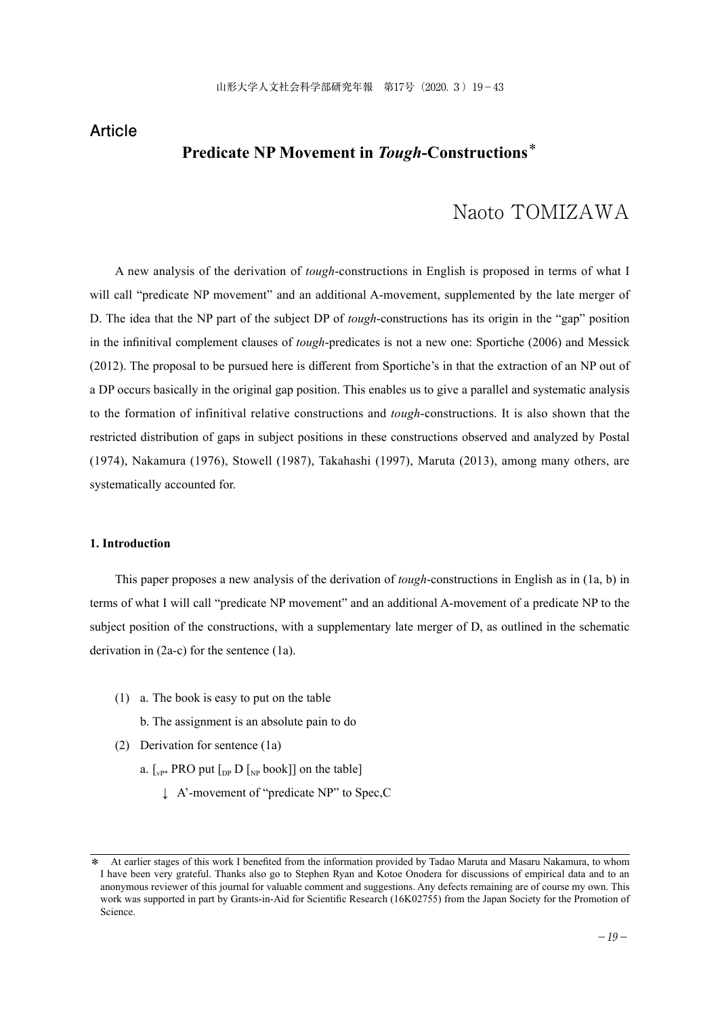### **Article**

## **Predicate NP Movement in** *Tough***-Constructions**\*

# Naoto TOMIZAWA

A new analysis of the derivation of *tough*-constructions in English is proposed in terms of what I will call "predicate NP movement" and an additional A-movement, supplemented by the late merger of D. The idea that the NP part of the subject DP of *tough*-constructions has its origin in the "gap" position in the infinitival complement clauses of *tough*-predicates is not a new one: Sportiche (2006) and Messick (2012). The proposal to be pursued here is different from Sportiche's in that the extraction of an NP out of a DP occurs basically in the original gap position. This enables us to give a parallel and systematic analysis to the formation of infinitival relative constructions and *tough*-constructions. It is also shown that the restricted distribution of gaps in subject positions in these constructions observed and analyzed by Postal (1974), Nakamura (1976), Stowell (1987), Takahashi (1997), Maruta (2013), among many others, are systematically accounted for.

#### **1. Introduction**

This paper proposes a new analysis of the derivation of *tough*-constructions in English as in (1a, b) in terms of what I will call "predicate NP movement" and an additional A-movement of a predicate NP to the subject position of the constructions, with a supplementary late merger of D, as outlined in the schematic derivation in (2a-c) for the sentence (1a).

(1) a. The book is easy to put on the table

b. The assignment is an absolute pain to do

- (2) Derivation for sentence (1a)
	- a.  $\lceil_{vP^*}$  PRO put  $\lceil_{DP} D \rceil_{NP}$  book]] on the table]
		- ↓ A'-movement of "predicate NP" to Spec,C

At earlier stages of this work I benefited from the information provided by Tadao Maruta and Masaru Nakamura, to whom I have been very grateful. Thanks also go to Stephen Ryan and Kotoe Onodera for discussions of empirical data and to an anonymous reviewer of this journal for valuable comment and suggestions. Any defects remaining are of course my own. This work was supported in part by Grants-in-Aid for Scientific Research (16K02755) from the Japan Society for the Promotion of Science.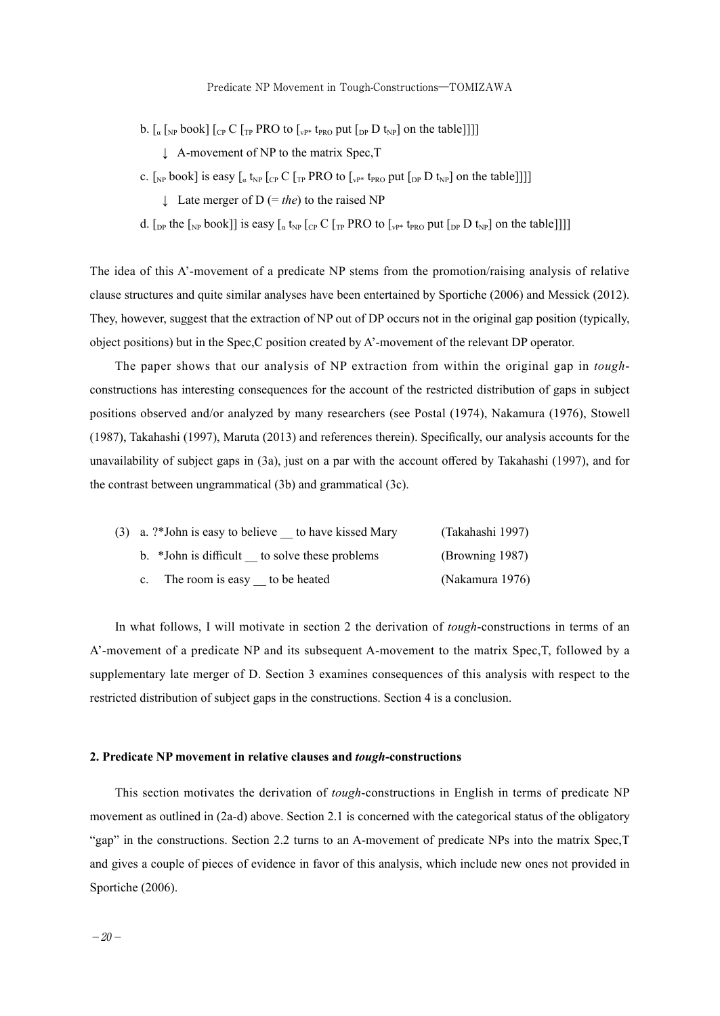- b.  $\left[\begin{smallmatrix}a & b\end{smallmatrix}\right]$  [<sub>CP</sub> C  $\left[\begin{smallmatrix}b & b\end{smallmatrix}\right]$   $\left[\begin{smallmatrix}c & c\end{smallmatrix}\right]$  [<sub>VP\*</sub> t<sub>PRO</sub> put  $\left[\begin{smallmatrix}b & b\end{smallmatrix}\right]$  [<sub>NP</sub>] on the table]]]]
	- ↓ A-movement of NP to the matrix Spec, T
- c. [<sub>NP</sub> book] is easy  $\left[\begin{smallmatrix} a & t_{NP} \end{smallmatrix}\right]$  [<sub>CP</sub> C  $\left[\begin{smallmatrix} T_P & PRO & 0 \end{smallmatrix}\right]$  [<sub>VP\*</sub> t<sub>PRO</sub> put  $\left[\begin{smallmatrix} D_P & D & t_{NP} \end{smallmatrix}\right]$  on the table]]]]
	- ↓ Late merger of D (= *the*) to the raised NP
- d. [<sub>DP</sub> the [<sub>NP</sub> book]] is easy [<sub>a</sub> t<sub>NP</sub> [<sub>CP</sub> C [<sub>TP</sub> PRO to [<sub>vP\*</sub> t<sub>PRO</sub> put [<sub>DP</sub> D t<sub>NP</sub>] on the table]]]]

The idea of this A'-movement of a predicate NP stems from the promotion/raising analysis of relative clause structures and quite similar analyses have been entertained by Sportiche (2006) and Messick (2012). They, however, suggest that the extraction of NP out of DP occurs not in the original gap position (typically, object positions) but in the Spec,C position created by A'-movement of the relevant DP operator.

The paper shows that our analysis of NP extraction from within the original gap in *tough*constructions has interesting consequences for the account of the restricted distribution of gaps in subject positions observed and/or analyzed by many researchers (see Postal (1974), Nakamura (1976), Stowell (1987), Takahashi (1997), Maruta (2013) and references therein). Specifically, our analysis accounts for the unavailability of subject gaps in (3a), just on a par with the account offered by Takahashi (1997), and for the contrast between ungrammatical (3b) and grammatical (3c).

|  | $(3)$ a. ?*John is easy to believe to have kissed Mary | (Takahashi 1997) |
|--|--------------------------------------------------------|------------------|
|  | b. *John is difficult to solve these problems          | (Browning 1987)  |
|  | The room is easy to be heated                          | (Nakamura 1976)  |

In what follows, I will motivate in section 2 the derivation of *tough*-constructions in terms of an A'-movement of a predicate NP and its subsequent A-movement to the matrix Spec,T, followed by a supplementary late merger of D. Section 3 examines consequences of this analysis with respect to the restricted distribution of subject gaps in the constructions. Section 4 is a conclusion.

#### **2. Predicate NP movement in relative clauses and** *tough***-constructions**

This section motivates the derivation of *tough*-constructions in English in terms of predicate NP movement as outlined in (2a-d) above. Section 2.1 is concerned with the categorical status of the obligatory "gap" in the constructions. Section 2.2 turns to an A-movement of predicate NPs into the matrix Spec,T and gives a couple of pieces of evidence in favor of this analysis, which include new ones not provided in Sportiche (2006).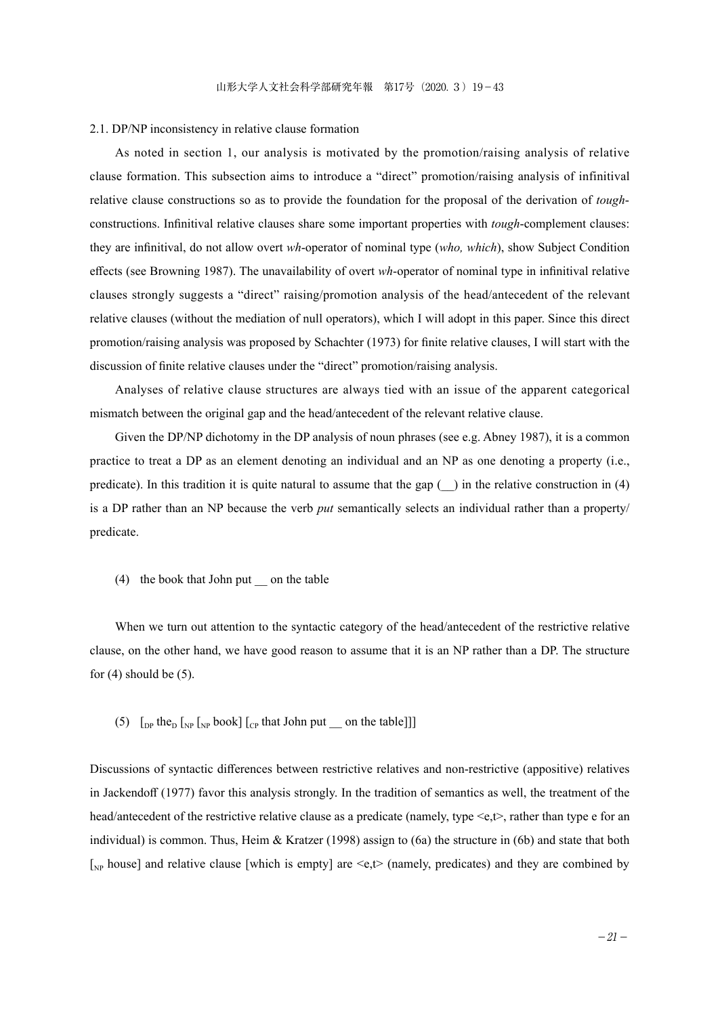#### 2.1. DP/NP inconsistency in relative clause formation

As noted in section 1, our analysis is motivated by the promotion/raising analysis of relative clause formation. This subsection aims to introduce a "direct" promotion/raising analysis of infinitival relative clause constructions so as to provide the foundation for the proposal of the derivation of *tough*constructions. Infinitival relative clauses share some important properties with *tough*-complement clauses: they are infinitival, do not allow overt *wh*-operator of nominal type (*who, which*), show Subject Condition effects (see Browning 1987). The unavailability of overt *wh*-operator of nominal type in infinitival relative clauses strongly suggests a "direct" raising/promotion analysis of the head/antecedent of the relevant relative clauses (without the mediation of null operators), which I will adopt in this paper. Since this direct promotion/raising analysis was proposed by Schachter (1973) for finite relative clauses, I will start with the discussion of finite relative clauses under the "direct" promotion/raising analysis.

Analyses of relative clause structures are always tied with an issue of the apparent categorical mismatch between the original gap and the head/antecedent of the relevant relative clause.

Given the DP/NP dichotomy in the DP analysis of noun phrases (see e.g. Abney 1987), it is a common practice to treat a DP as an element denoting an individual and an NP as one denoting a property (i.e., predicate). In this tradition it is quite natural to assume that the gap  $($ ) in the relative construction in (4) is a DP rather than an NP because the verb *put* semantically selects an individual rather than a property/ predicate.

(4) the book that John put \_\_ on the table

When we turn out attention to the syntactic category of the head/antecedent of the restrictive relative clause, on the other hand, we have good reason to assume that it is an NP rather than a DP. The structure for  $(4)$  should be  $(5)$ .

(5)  $\left[$ <sub>DP</sub> the<sub>D</sub>  $\left[$ <sub>NP</sub>  $\left[$ <sub>NP</sub> book]  $\left[$ <sub>CP</sub> that John put \_\_ on the table]]]

Discussions of syntactic differences between restrictive relatives and non-restrictive (appositive) relatives in Jackendoff (1977) favor this analysis strongly. In the tradition of semantics as well, the treatment of the head/antecedent of the restrictive relative clause as a predicate (namely, type <e,t>, rather than type e for an individual) is common. Thus, Heim & Kratzer (1998) assign to  $(6a)$  the structure in  $(6b)$  and state that both  $\lceil_{NP}$  house] and relative clause [which is empty] are  $\leq e, t$  (namely, predicates) and they are combined by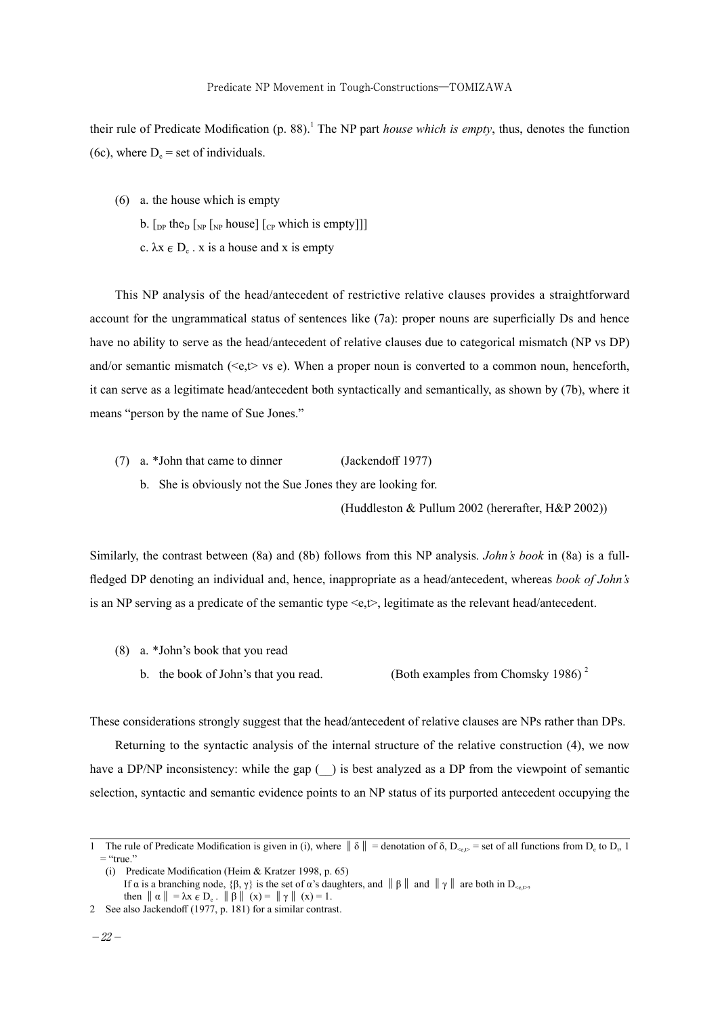their rule of Predicate Modification (p. 88).<sup>1</sup> The NP part *house which is empty*, thus, denotes the function (6c), where  $D_e$  = set of individuals.

- (6) a. the house which is empty
	- b.  $\lceil_{DP}$  the<sub>D</sub>  $\lceil_{NP}$   $\lceil_{NP}$  house]  $\lceil_{CP}$  which is empty]]]
	- c.  $\lambda x \in D_e$ . x is a house and x is empty

This NP analysis of the head/antecedent of restrictive relative clauses provides a straightforward account for the ungrammatical status of sentences like (7a): proper nouns are superficially Ds and hence have no ability to serve as the head/antecedent of relative clauses due to categorical mismatch (NP vs DP) and/or semantic mismatch ( $\leq e, t$  vs e). When a proper noun is converted to a common noun, henceforth, it can serve as a legitimate head/antecedent both syntactically and semantically, as shown by (7b), where it means "person by the name of Sue Jones."

- (7) a. \*John that came to dinner (Jackendoff 1977)
	- b. She is obviously not the Sue Jones they are looking for.

(Huddleston & Pullum 2002 (hererafter, H&P 2002))

Similarly, the contrast between (8a) and (8b) follows from this NP analysis. *John's book* in (8a) is a fullfledged DP denoting an individual and, hence, inappropriate as a head/antecedent, whereas *book of John's* is an NP serving as a predicate of the semantic type  $\leq e, \leq$ , legitimate as the relevant head/antecedent.

- (8) a. \*John's book that you read
	- b. the book of John's that you read. (Both examples from Chomsky 1986)<sup>2</sup>

These considerations strongly suggest that the head/antecedent of relative clauses are NPs rather than DPs.

Returning to the syntactic analysis of the internal structure of the relative construction (4), we now have a DP/NP inconsistency: while the gap () is best analyzed as a DP from the viewpoint of semantic selection, syntactic and semantic evidence points to an NP status of its purported antecedent occupying the

<sup>1</sup> The rule of Predicate Modification is given in (i), where  $\|\delta\|$  = denotation of  $\delta$ ,  $D_{\leq \epsilon, \mathbb{P}}$  = set of all functions from  $D_{\epsilon}$  to  $D_{\epsilon}$  1  $=$  "true."

<sup>(</sup>i) Predicate Modification (Heim & Kratzer 1998, p. 65)

If α is a branching node, {β, γ} is the set of α's daughters, and  $\|\beta\|$  and  $\|\gamma\|$  are both in D<sub><e,t></sub>,

then  $\|\alpha\| = \lambda x \in D_e$ .  $\|\beta\| (x) = \|\gamma\| (x) = 1$ .

<sup>2</sup> See also Jackendoff (1977, p. 181) for a similar contrast.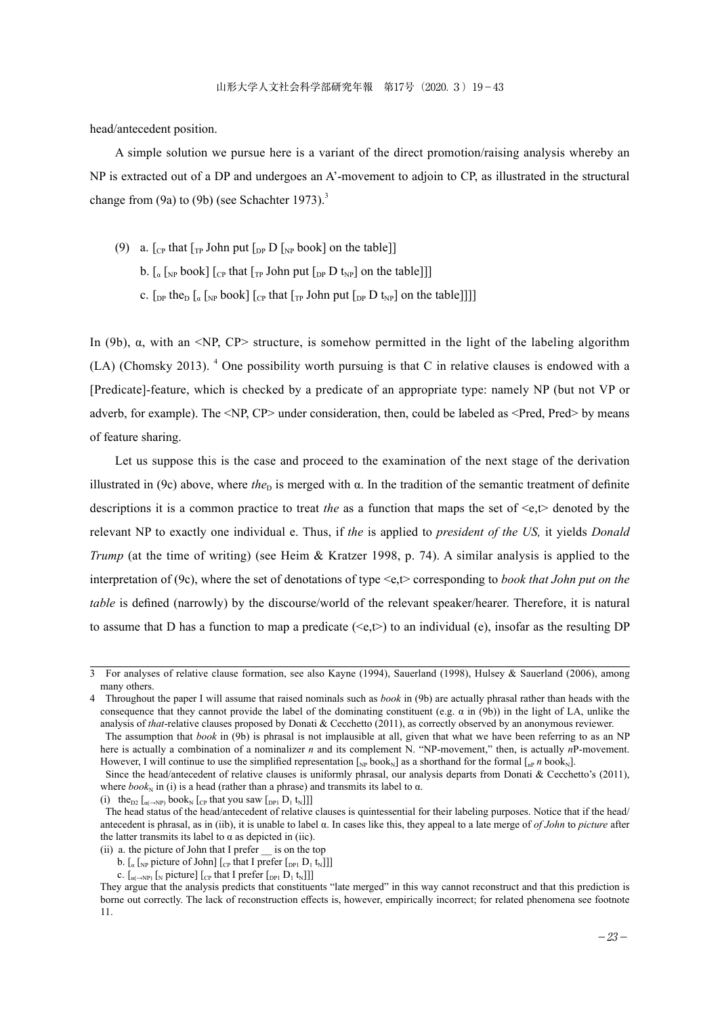head/antecedent position.

A simple solution we pursue here is a variant of the direct promotion/raising analysis whereby an NP is extracted out of a DP and undergoes an A'-movement to adjoin to CP, as illustrated in the structural change from  $(9a)$  to  $(9b)$  (see Schachter 1973).<sup>3</sup>

- (9) a.  $\lceil_{CP}$  that  $\lceil_{TP}$  John put  $\lceil_{DP} D \rceil_{NP}$  book] on the table]]
	- b.  $\left[\int_{\alpha} \int_{NP} \text{book}\right] \left[\int_{CP} \text{that} \left[\int_{TP} \text{John put} \left[\int_{DP} D t_{NP}\right] \text{on the table}\right]\right]$
	- c.  $\lceil \frac{D}{D} \rceil$  the<sub>D</sub>  $\lceil \frac{d}{d} \rceil$ <sub>NP</sub> book]  $\lceil \frac{C}{D} \rceil$  that  $\lceil \frac{d}{d} \rceil$  John put  $\lceil \frac{D}{D} \rceil$  by  $\lceil \frac{d}{d} \rceil$  on the table]]]

In (9b), α, with an <NP, CP> structure, is somehow permitted in the light of the labeling algorithm (LA) (Chomsky 2013). <sup>4</sup> One possibility worth pursuing is that C in relative clauses is endowed with a [Predicate]-feature, which is checked by a predicate of an appropriate type: namely NP (but not VP or adverb, for example). The <NP, CP> under consideration, then, could be labeled as <Pred, Pred> by means of feature sharing.

Let us suppose this is the case and proceed to the examination of the next stage of the derivation illustrated in (9c) above, where *the*<sub>D</sub> is merged with  $\alpha$ . In the tradition of the semantic treatment of definite descriptions it is a common practice to treat *the* as a function that maps the set of  $\leq e, t$  denoted by the relevant NP to exactly one individual e. Thus, if *the* is applied to *president of the US,* it yields *Donald Trump* (at the time of writing) (see Heim & Kratzer 1998, p. 74). A similar analysis is applied to the interpretation of (9c), where the set of denotations of type <e,t> corresponding to *book that John put on the table* is defined (narrowly) by the discourse/world of the relevant speaker/hearer. Therefore, it is natural to assume that D has a function to map a predicate  $(\leq e,t)$  to an individual (e), insofar as the resulting DP

<sup>3</sup> For analyses of relative clause formation, see also Kayne (1994), Sauerland (1998), Hulsey & Sauerland (2006), among many others.

<sup>4</sup> Throughout the paper I will assume that raised nominals such as *book* in (9b) are actually phrasal rather than heads with the consequence that they cannot provide the label of the dominating constituent (e.g.  $\alpha$  in (9b)) in the light of LA, unlike the analysis of *that*-relative clauses proposed by Donati & Cecchetto (2011), as correctly observed by an anonymous reviewer.

The assumption that *book* in (9b) is phrasal is not implausible at all, given that what we have been referring to as an NP here is actually a combination of a nominalizer *n* and its complement N. "NP-movement," then, is actually *n*P-movement. However, I will continue to use the simplified representation  $\int_{N}b\,b\,b\,k}$  as a shorthand for the formal  $\int_{N}^{R} p\,b\,b\,k$ .

Since the head/antecedent of relative clauses is uniformly phrasal, our analysis departs from Donati & Cecchetto's (2011), where  $book<sub>N</sub>$  in (i) is a head (rather than a phrase) and transmits its label to  $\alpha$ .

<sup>(</sup>i) the<sub>D2</sub>  $\left[\alpha \rightarrow NP\right]$  book<sub>N</sub>  $\left[\right]$ <sub>CP</sub> that you saw  $\left[\right]$ <sub>DP1</sub>  $D_1$  t<sub>N</sub>]]]

The head status of the head/antecedent of relative clauses is quintessential for their labeling purposes. Notice that if the head/ antecedent is phrasal, as in (iib), it is unable to label α. In cases like this, they appeal to a late merge of *of John* to *picture* after the latter transmits its label to  $\alpha$  as depicted in (iic).

<sup>(</sup>ii) a. the picture of John that I prefer \_\_ is on the top

b.  $\left[\begin{smallmatrix}a & b\end{smallmatrix}\right]$  picture of John]  $\left[\begin{smallmatrix}C_P & b\end{smallmatrix}\right]$  that I prefer  $\left[\begin{smallmatrix}D_P & D_1 & t_N\end{smallmatrix}\right]$ ]

c.  $\left[\begin{smallmatrix} a(-N)D \end{smallmatrix}\right]$  [N picture]  $\left[\begin{smallmatrix} C \\ CP \end{smallmatrix}\right]$  that I prefer  $\left[\begin{smallmatrix} D & D_1 & t_N \end{smallmatrix}\right]$ ]

They argue that the analysis predicts that constituents "late merged" in this way cannot reconstruct and that this prediction is borne out correctly. The lack of reconstruction effects is, however, empirically incorrect; for related phenomena see footnote 11.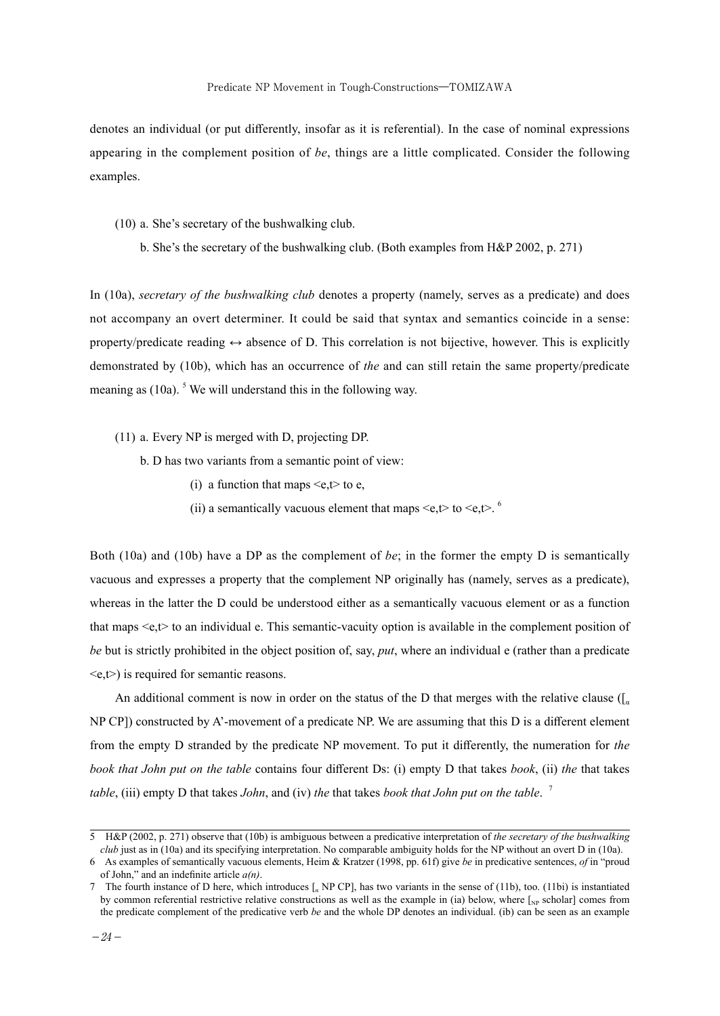denotes an individual (or put differently, insofar as it is referential). In the case of nominal expressions appearing in the complement position of *be*, things are a little complicated. Consider the following examples.

- (10) a. She's secretary of the bushwalking club.
	- b. She's the secretary of the bushwalking club. (Both examples from H&P 2002, p. 271)

In (10a), *secretary of the bushwalking club* denotes a property (namely, serves as a predicate) and does not accompany an overt determiner. It could be said that syntax and semantics coincide in a sense: property/predicate reading  $\leftrightarrow$  absence of D. This correlation is not bijective, however. This is explicitly demonstrated by (10b), which has an occurrence of *the* and can still retain the same property/predicate meaning as (10a). <sup>5</sup> We will understand this in the following way.

- (11) a. Every NP is merged with D, projecting DP.
	- b. D has two variants from a semantic point of view:
		- (i) a function that maps  $\leq e, t \geq 0$  to e,
		- (ii) a semantically vacuous element that maps  $\leq e, t$  to  $\leq e, t$ . <sup>6</sup>

Both (10a) and (10b) have a DP as the complement of *be*; in the former the empty D is semantically vacuous and expresses a property that the complement NP originally has (namely, serves as a predicate), whereas in the latter the D could be understood either as a semantically vacuous element or as a function that maps  $\leq e, t$  to an individual e. This semantic-vacuity option is available in the complement position of *be* but is strictly prohibited in the object position of, say, *put*, where an individual e (rather than a predicate  $\langle e, t \rangle$  is required for semantic reasons.

An additional comment is now in order on the status of the D that merges with the relative clause ( $\int_{\alpha}$ NP CP]) constructed by A'-movement of a predicate NP. We are assuming that this D is a different element from the empty D stranded by the predicate NP movement. To put it differently, the numeration for *the book that John put on the table* contains four different Ds: (i) empty D that takes *book*, (ii) *the* that takes *table*, (iii) empty D that takes *John*, and (iv) *the* that takes *book that John put on the table*. <sup>7</sup>

<sup>5</sup> H&P (2002, p. 271) observe that (10b) is ambiguous between a predicative interpretation of *the secretary of the bushwalking club* just as in (10a) and its specifying interpretation. No comparable ambiguity holds for the NP without an overt D in (10a).

<sup>6</sup> As examples of semantically vacuous elements, Heim & Kratzer (1998, pp. 61f) give *be* in predicative sentences, *of* in "proud of John," and an indefinite article *a(n)*.

<sup>7</sup> The fourth instance of D here, which introduces [α NP CP], has two variants in the sense of (11b), too. (11bi) is instantiated by common referential restrictive relative constructions as well as the example in (ia) below, where  $\lceil_{\text{NP}}\text{ scholar}\rceil$  comes from the predicate complement of the predicative verb *be* and the whole DP denotes an individual. (ib) can be seen as an example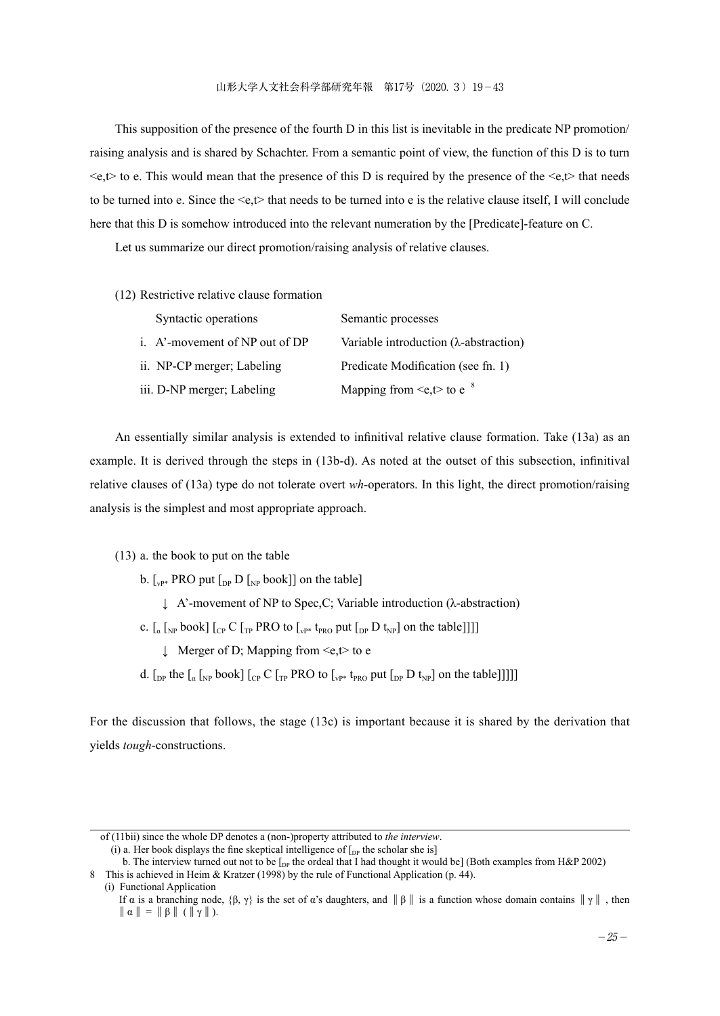This supposition of the presence of the fourth D in this list is inevitable in the predicate NP promotion/ raising analysis and is shared by Schachter. From a semantic point of view, the function of this D is to turn  $\leq e, t$  to e. This would mean that the presence of this D is required by the presence of the  $\leq e, t$  that needs to be turned into e. Since the  $\leq e, t$  that needs to be turned into e is the relative clause itself, I will conclude here that this D is somehow introduced into the relevant numeration by the [Predicate]-feature on C.

Let us summarize our direct promotion/raising analysis of relative clauses.

(12) Restrictive relative clause formation

| Syntactic operations           | Semantic processes                             |
|--------------------------------|------------------------------------------------|
| i. A'-movement of NP out of DP | Variable introduction $(\lambda$ -abstraction) |
| ii. NP-CP merger; Labeling     | Predicate Modification (see fn. 1)             |
| iii. D-NP merger; Labeling     | Mapping from $\leq e, t$ to e $\degree$        |

An essentially similar analysis is extended to infinitival relative clause formation. Take (13a) as an example. It is derived through the steps in (13b-d). As noted at the outset of this subsection, infinitival relative clauses of (13a) type do not tolerate overt *wh*-operators. In this light, the direct promotion/raising analysis is the simplest and most appropriate approach.

(13) a. the book to put on the table

b.  $\lceil_{\text{vP*}}$  PRO put  $\lceil_{\text{DP}} D \rceil$  book] on the table

↓ A'-movement of NP to Spec,C; Variable introduction (λ-abstraction)

c.  $\left[\begin{smallmatrix} a \\ a \end{smallmatrix}\right]_{NP}$  book]  $\left[\begin{smallmatrix} c \\ cp \end{smallmatrix}\right]$   $\left[\begin{smallmatrix} C \\ TP \end{smallmatrix}\right]$   $\left[\begin{smallmatrix} PRO & to \\ vP^* & \text{Pro} \end{smallmatrix}\right]$   $\left[\begin{smallmatrix} b \\ bp \end{smallmatrix}\right]$   $\left[\begin{smallmatrix} b \\ bp \end{smallmatrix}\right]$   $\left[\begin{smallmatrix} b \\ b \\ c \end{smallmatrix}\right]$ 

↓ Merger of D; Mapping from <e,t> to e

d.  $\left[\int_{D}$  the  $\left[\int_{\alpha} \left[\int_{N} P \right] \right]_{C}$  and  $\left[\int_{\alpha} P \right]_{C}$  and  $\left[\int_{\alpha} P \left[\int_{N} P \right] \right]_{C}$  and the table]]]]]

For the discussion that follows, the stage (13c) is important because it is shared by the derivation that yields *tough*-constructions.

(i) a. Her book displays the fine skeptical intelligence of  $[$ <sub>DP</sub> the scholar she is]

b. The interview turned out not to be  $\int_{DP}$  the ordeal that I had thought it would be] (Both examples from H&P 2002)

(i) Functional Application

of (11bii) since the whole DP denotes a (non-)property attributed to *the interview*.

<sup>8</sup> This is achieved in Heim & Kratzer (1998) by the rule of Functional Application (p. 44).

If α is a branching node,  $\{\beta, \gamma\}$  is the set of α's daughters, and  $\|\beta\|$  is a function whose domain contains  $\|\gamma\|$ , then  $\|\alpha\| = \|\beta\| (\|\gamma\|).$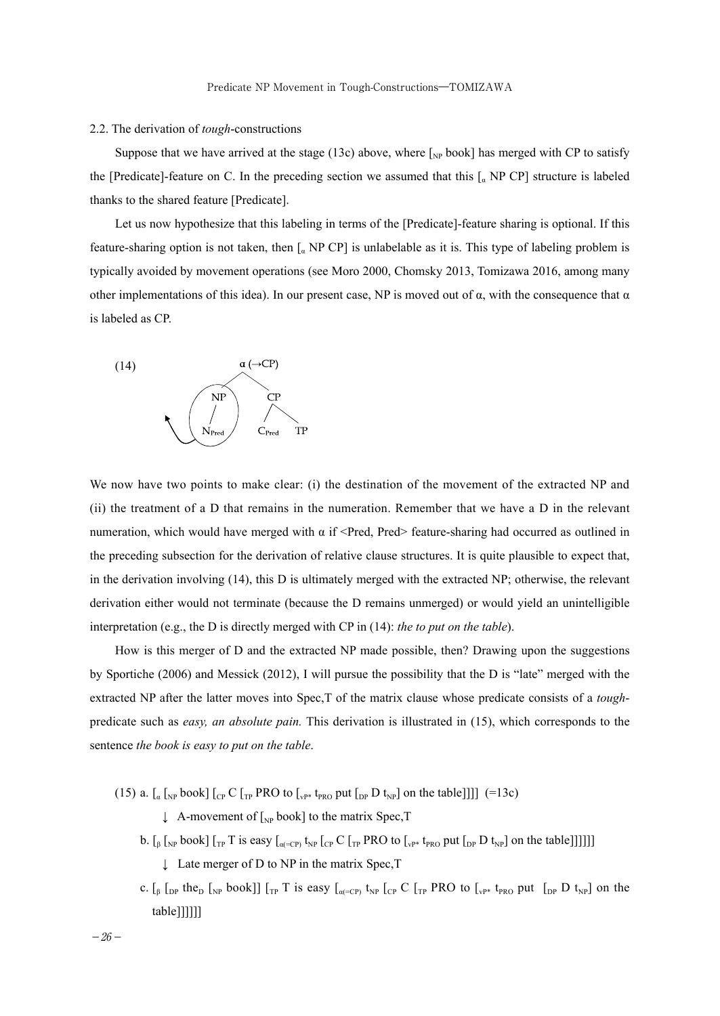#### 2.2. The derivation of *tough*-constructions

Suppose that we have arrived at the stage (13c) above, where  $\left[_{NP}\text{book}\right]$  has merged with CP to satisfy the [Predicate]-feature on C. In the preceding section we assumed that this  $\lceil_{a}$  NP CP] structure is labeled thanks to the shared feature [Predicate].

Let us now hypothesize that this labeling in terms of the [Predicate]-feature sharing is optional. If this feature-sharing option is not taken, then  $\int_{\alpha}$  NP CP] is unlabelable as it is. This type of labeling problem is typically avoided by movement operations (see Moro 2000, Chomsky 2013, Tomizawa 2016, among many other implementations of this idea). In our present case, NP is moved out of  $\alpha$ , with the consequence that  $\alpha$ is labeled as CP.



We now have two points to make clear: (i) the destination of the movement of the extracted NP and (ii) the treatment of a D that remains in the numeration. Remember that we have a D in the relevant numeration, which would have merged with  $α$  if <Pred, Pred> feature-sharing had occurred as outlined in the preceding subsection for the derivation of relative clause structures. It is quite plausible to expect that, in the derivation involving (14), this D is ultimately merged with the extracted NP; otherwise, the relevant derivation either would not terminate (because the D remains unmerged) or would yield an unintelligible interpretation (e.g., the D is directly merged with CP in (14): *the to put on the table*).

How is this merger of D and the extracted NP made possible, then? Drawing upon the suggestions by Sportiche (2006) and Messick (2012), I will pursue the possibility that the D is "late" merged with the extracted NP after the latter moves into Spec,T of the matrix clause whose predicate consists of a *tough*predicate such as *easy, an absolute pain.* This derivation is illustrated in (15), which corresponds to the sentence *the book is easy to put on the table*.

(15) a.  $\left[\begin{smallmatrix} a & b \end{smallmatrix}\right]$  [<sub>CP</sub> C  $\left[\begin{smallmatrix} a & b \end{smallmatrix}\right]$  PRO to  $\left[\begin{smallmatrix} v_{\text{PP}} \\ v_{\text{PP}} \end{smallmatrix}\right]$  be the table [11] (=13c)

- $\downarrow$  A-movement of  $\left[\right]_{NP}$  book] to the matrix Spec, T
- b.  $\left[\int_{\beta} \int_{\text{NP}} \text{book}\right] \left[\int_{\text{TP}} T \text{ is easy} \left[\int_{\alpha(-\text{CP})} t_{\text{NP}} \left[\int_{\text{CP}} C \left[\int_{\text{TP}} \text{PRO~to} \left[\int_{\text{NP}} t_{\text{NP}} \left[\text{DP~D~t}_{\text{NP}}\right] \right] \right] \right] \right]\right]$ 
	- ↓ Late merger of D to NP in the matrix Spec, T
- c.  $\left[\begin{array}{cc} 0 & \text{for } k \end{array}\right]$   $\left[\begin{array}{cc} 0 & \text{for } k \end{array}\right]$   $\left[\begin{array}{cc} 0 & \text{for } k \end{array}\right]$   $\left[\begin{array}{cc} 0 & \text{for } k \end{array}\right]$   $\left[\begin{array}{cc} 0 & \text{for } k \end{array}\right]$   $\left[\begin{array}{cc} 0 & \text{for } k \end{array}\right]$   $\left[\begin{array}{cc} 0 & \text{for } k \end{array}\right]$ table]]]]]]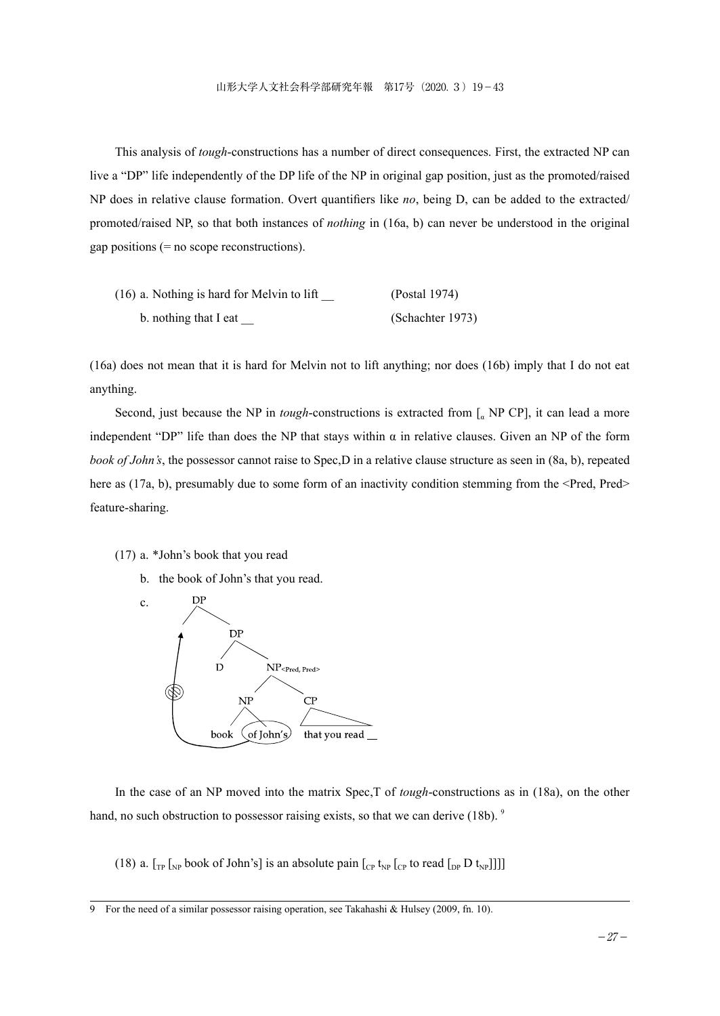This analysis of *tough*-constructions has a number of direct consequences. First, the extracted NP can live a "DP" life independently of the DP life of the NP in original gap position, just as the promoted/raised NP does in relative clause formation. Overt quantifiers like *no*, being D, can be added to the extracted/ promoted/raised NP, so that both instances of *nothing* in (16a, b) can never be understood in the original gap positions (= no scope reconstructions).

| $(16)$ a. Nothing is hard for Melvin to lift | (Postal 1974)    |
|----------------------------------------------|------------------|
| b. nothing that I eat                        | (Schachter 1973) |

(16a) does not mean that it is hard for Melvin not to lift anything; nor does (16b) imply that I do not eat anything.

Second, just because the NP in *tough*-constructions is extracted from [<sub>a</sub> NP CP], it can lead a more independent "DP" life than does the NP that stays within α in relative clauses. Given an NP of the form *book of John's*, the possessor cannot raise to Spec,D in a relative clause structure as seen in (8a, b), repeated here as (17a, b), presumably due to some form of an inactivity condition stemming from the <Pred, Pred> feature-sharing.

#### (17) a. \*John's book that you read

b. the book of John's that you read.



In the case of an NP moved into the matrix Spec,T of *tough*-constructions as in (18a), on the other hand, no such obstruction to possessor raising exists, so that we can derive (18b). <sup>9</sup>

(18) a.  $\lceil_{\text{TP}} \rceil_{\text{NP}}$  book of John's] is an absolute pain  $\lceil_{\text{CP}} t_{\text{NP}} \rceil_{\text{CP}}$  to read  $\lceil_{\text{DP}} D t_{\text{NP}} \rceil_{\text{NP}}$ 

<sup>9</sup> For the need of a similar possessor raising operation, see Takahashi & Hulsey (2009, fn. 10).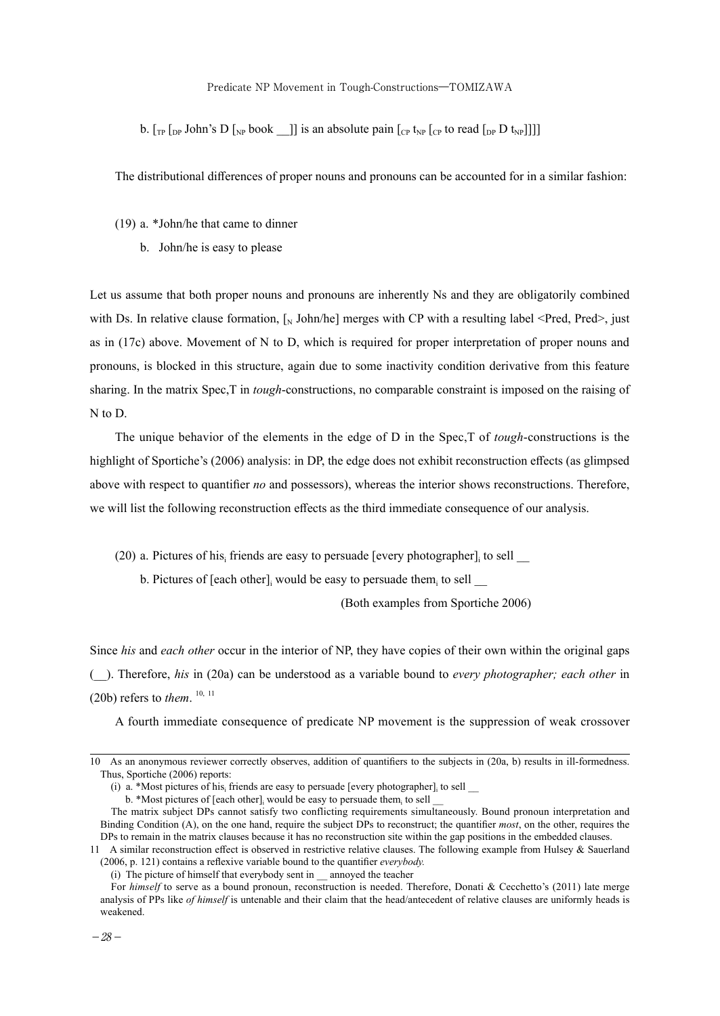#### Predicate NP Movement in Tough-Constructions―TOMIZAWA

b.  $[\Gamma_{\text{TP}}]$  [<sub>DP</sub> John's D  $[\Gamma_{\text{NP}}]$  book  $\Gamma_{\text{NP}}]$ ]] is an absolute pain  $[\Gamma_{\text{CP}}]$  t<sub>NP</sub> [ $[\Gamma_{\text{CP}}]$  to read  $[\Gamma_{\text{DP}}]$ ]]

The distributional differences of proper nouns and pronouns can be accounted for in a similar fashion:

- (19) a. \*John/he that came to dinner
	- b. John/he is easy to please

Let us assume that both proper nouns and pronouns are inherently Ns and they are obligatorily combined with Ds. In relative clause formation,  $\int_N \text{John/he}$  merges with CP with a resulting label <Pred, Pred>, just as in (17c) above. Movement of N to D, which is required for proper interpretation of proper nouns and pronouns, is blocked in this structure, again due to some inactivity condition derivative from this feature sharing. In the matrix Spec,T in *tough*-constructions, no comparable constraint is imposed on the raising of N to D.

The unique behavior of the elements in the edge of D in the Spec,T of *tough*-constructions is the highlight of Sportiche's (2006) analysis: in DP, the edge does not exhibit reconstruction effects (as glimpsed above with respect to quantifier *no* and possessors), whereas the interior shows reconstructions. Therefore, we will list the following reconstruction effects as the third immediate consequence of our analysis.

(20) a. Pictures of his $_{\text{i}}$  friends are easy to persuade [every photographer] $_{\text{i}}$  to sell  $\_$ 

b. Pictures of [each other], would be easy to persuade them, to sell  $\Box$ 

(Both examples from Sportiche 2006)

Since *his* and *each other* occur in the interior of NP, they have copies of their own within the original gaps (\_\_). Therefore, *his* in (20a) can be understood as a variable bound to *every photographer; each other* in (20b) refers to *them*.  $^{10, 11}$ 

A fourth immediate consequence of predicate NP movement is the suppression of weak crossover

<sup>10</sup> As an anonymous reviewer correctly observes, addition of quantifiers to the subjects in (20a, b) results in ill-formedness. Thus, Sportiche (2006) reports:

<sup>(</sup>i) a. \*Most pictures of his, friends are easy to persuade [every photographer], to sell  $\Box$ 

b. \*Most pictures of [each other], would be easy to persuade them, to sell  $\equiv$ 

The matrix subject DPs cannot satisfy two conflicting requirements simultaneously. Bound pronoun interpretation and Binding Condition (A), on the one hand, require the subject DPs to reconstruct; the quantifier *most*, on the other, requires the DPs to remain in the matrix clauses because it has no reconstruction site within the gap positions in the embedded clauses.

<sup>11</sup> A similar reconstruction effect is observed in restrictive relative clauses. The following example from Hulsey & Sauerland (2006, p. 121) contains a reflexive variable bound to the quantifier *everybody.*

 <sup>(</sup>i) The picture of himself that everybody sent in \_\_ annoyed the teacher

For *himself* to serve as a bound pronoun, reconstruction is needed. Therefore, Donati & Cecchetto's (2011) late merge analysis of PPs like *of himself* is untenable and their claim that the head/antecedent of relative clauses are uniformly heads is weakened.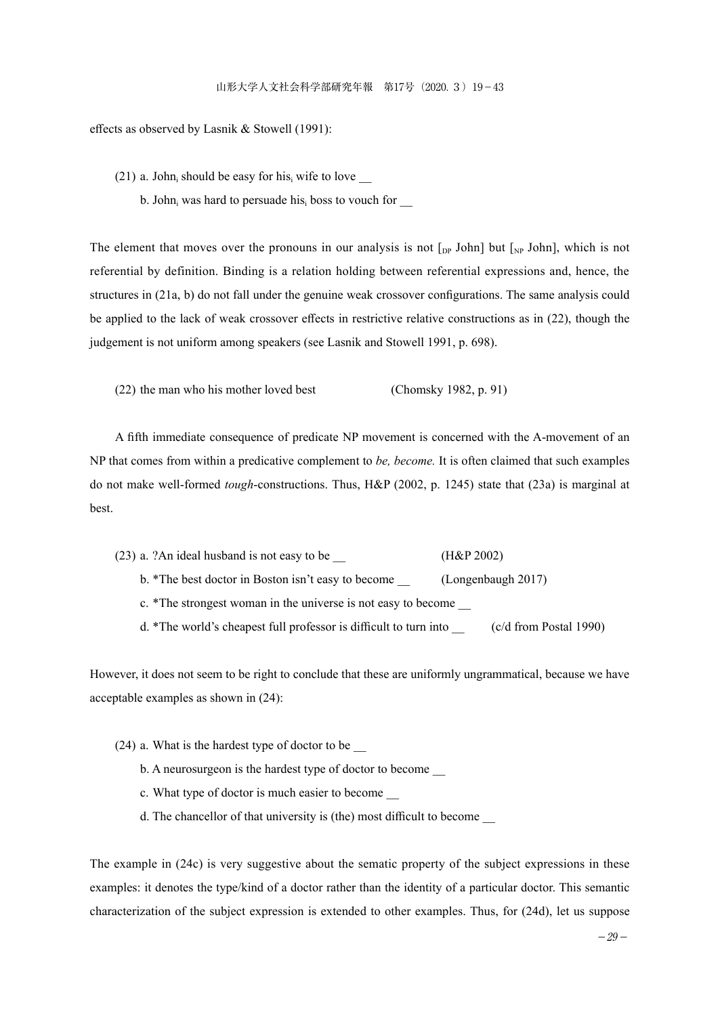effects as observed by Lasnik & Stowell (1991):

(21) a. John, should be easy for his, wife to love  $\_\_$ 

b. John $_{\text{i}}$  was hard to persuade his $_{\text{i}}$  boss to vouch for  $\_$ 

The element that moves over the pronouns in our analysis is not  $\lceil_{DP}$  John] but  $\lceil_{NP}$  John], which is not referential by definition. Binding is a relation holding between referential expressions and, hence, the structures in (21a, b) do not fall under the genuine weak crossover configurations. The same analysis could be applied to the lack of weak crossover effects in restrictive relative constructions as in (22), though the judgement is not uniform among speakers (see Lasnik and Stowell 1991, p. 698).

(22) the man who his mother loved best (Chomsky 1982, p. 91)

A fifth immediate consequence of predicate NP movement is concerned with the A-movement of an NP that comes from within a predicative complement to *be, become.* It is often claimed that such examples do not make well-formed *tough*-constructions. Thus, H&P (2002, p. 1245) state that (23a) is marginal at best.

- (23) a. ?An ideal husband is not easy to be \_\_ (H&P 2002)
	- b. \*The best doctor in Boston isn't easy to become (Longenbaugh 2017)

c. \*The strongest woman in the universe is not easy to become \_\_

d. \*The world's cheapest full professor is difficult to turn into \_\_ (c/d from Postal 1990)

However, it does not seem to be right to conclude that these are uniformly ungrammatical, because we have acceptable examples as shown in (24):

- (24) a. What is the hardest type of doctor to be \_\_
	- b. A neurosurgeon is the hardest type of doctor to become
	- c. What type of doctor is much easier to become \_\_
	- d. The chancellor of that university is (the) most difficult to become \_\_

The example in (24c) is very suggestive about the sematic property of the subject expressions in these examples: it denotes the type/kind of a doctor rather than the identity of a particular doctor. This semantic characterization of the subject expression is extended to other examples. Thus, for (24d), let us suppose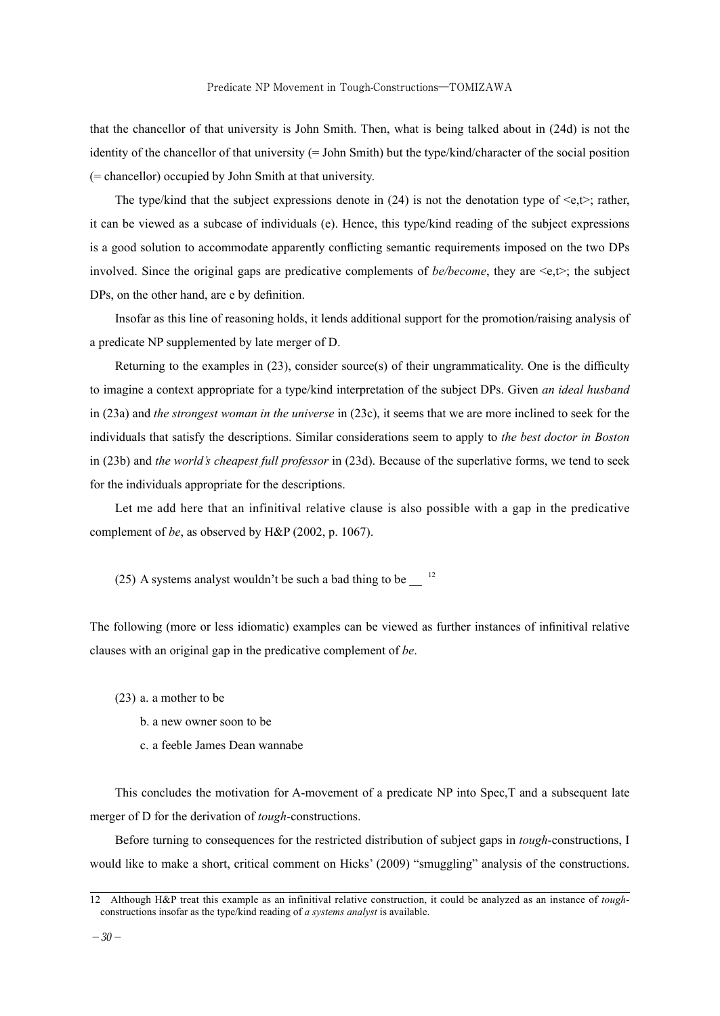that the chancellor of that university is John Smith. Then, what is being talked about in (24d) is not the identity of the chancellor of that university (= John Smith) but the type/kind/character of the social position (= chancellor) occupied by John Smith at that university.

The type/kind that the subject expressions denote in (24) is not the denotation type of  $\leq e, t$ : rather, it can be viewed as a subcase of individuals (e). Hence, this type/kind reading of the subject expressions is a good solution to accommodate apparently conflicting semantic requirements imposed on the two DPs involved. Since the original gaps are predicative complements of  $be/become$ , they are  $\leq e, t \geq$ ; the subject DPs, on the other hand, are e by definition.

Insofar as this line of reasoning holds, it lends additional support for the promotion/raising analysis of a predicate NP supplemented by late merger of D.

Returning to the examples in (23), consider source(s) of their ungrammaticality. One is the difficulty to imagine a context appropriate for a type/kind interpretation of the subject DPs. Given *an ideal husband*  in (23a) and *the strongest woman in the universe* in (23c), it seems that we are more inclined to seek for the individuals that satisfy the descriptions. Similar considerations seem to apply to *the best doctor in Boston*  in (23b) and *the world's cheapest full professor* in (23d). Because of the superlative forms, we tend to seek for the individuals appropriate for the descriptions.

Let me add here that an infinitival relative clause is also possible with a gap in the predicative complement of *be*, as observed by H&P (2002, p. 1067).

(25) A systems analyst wouldn't be such a bad thing to be  $12$ 

The following (more or less idiomatic) examples can be viewed as further instances of infinitival relative clauses with an original gap in the predicative complement of *be*.

(23) a. a mother to be

- b. a new owner soon to be
- c. a feeble James Dean wannabe

This concludes the motivation for A-movement of a predicate NP into Spec,T and a subsequent late merger of D for the derivation of *tough*-constructions.

Before turning to consequences for the restricted distribution of subject gaps in *tough*-constructions, I would like to make a short, critical comment on Hicks' (2009) "smuggling" analysis of the constructions.

<sup>12</sup> Although H&P treat this example as an infinitival relative construction, it could be analyzed as an instance of *tough*constructions insofar as the type/kind reading of *a systems analyst* is available.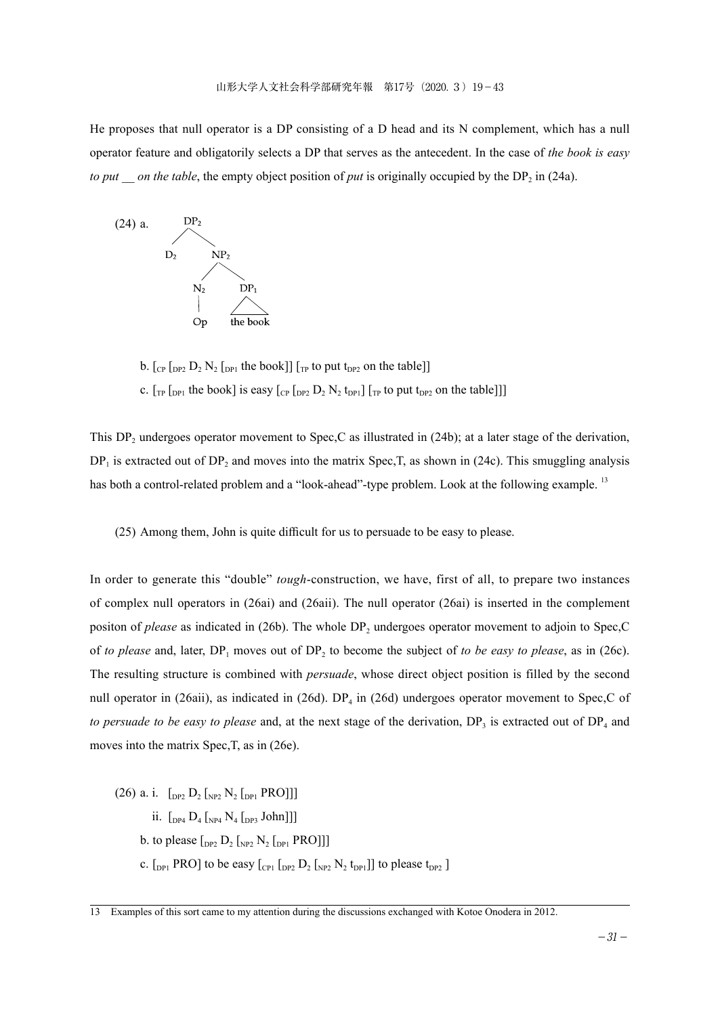He proposes that null operator is a DP consisting of a D head and its N complement, which has a null operator feature and obligatorily selects a DP that serves as the antecedent. In the case of *the book is easy to put \_\_ on the table*, the empty object position of *put* is originally occupied by the DP<sub>2</sub> in (24a).



b.  $\left[\begin{smallmatrix}C_{\text{P}} & D_2 & D_2 & N_2 & D_{\text{P1}} \end{smallmatrix}\right]$  [ $\left[\begin{smallmatrix}T_{\text{P}} & T_{\text{P}} & D_2 & D_2 & N_2 & D_{\text{P1}} \end{smallmatrix}\right]$ ] c.  $\left[\begin{smallmatrix}T_P & T_P \end{smallmatrix}\right]$  the book] is easy  $\left[\begin{smallmatrix}C_P & D_2 & N_2 & t_{DP1}\end{smallmatrix}\right]$   $\left[\begin{smallmatrix}T_P & t_O & put & t_{DP2} \end{smallmatrix}\right]$  on the table]]]

This DP<sub>2</sub> undergoes operator movement to Spec,C as illustrated in  $(24b)$ ; at a later stage of the derivation,  $DP_1$  is extracted out of  $DP_2$  and moves into the matrix Spec, T, as shown in (24c). This smuggling analysis has both a control-related problem and a "look-ahead"-type problem. Look at the following example.<sup>13</sup>

(25) Among them, John is quite difficult for us to persuade to be easy to please.

In order to generate this "double" *tough*-construction, we have, first of all, to prepare two instances of complex null operators in (26ai) and (26aii). The null operator (26ai) is inserted in the complement positon of *please* as indicated in (26b). The whole DP<sub>2</sub> undergoes operator movement to adjoin to Spec,C of *to please* and, later, DP<sub>1</sub> moves out of DP<sub>2</sub> to become the subject of *to be easy to please*, as in (26c). The resulting structure is combined with *persuade*, whose direct object position is filled by the second null operator in (26aii), as indicated in (26d). DP<sub>4</sub> in (26d) undergoes operator movement to Spec,C of *to persuade to be easy to please* and, at the next stage of the derivation, DP<sub>3</sub> is extracted out of DP<sub>4</sub> and moves into the matrix Spec,T, as in (26e).

(26) a. i.  $\left[$ <sub>DP2</sub> D<sub>2</sub>  $\left[$ <sub>NP2</sub> N<sub>2</sub>  $\left[$ <sub>DP1</sub> PRO]]] ii.  $\left[\begin{smallmatrix} 0 & 0 \\ 0 & 0 \end{smallmatrix}\right]$   $\left[\begin{smallmatrix} 0 & 0 \\ 0 & 0 \end{smallmatrix}\right]$   $\left[\begin{smallmatrix} 0 & 0 \\ 0 & 0 \end{smallmatrix}\right]$ b. to please  $\left[\begin{smallmatrix}D_{P2} & D_2 & N_2 & D_{P1} & PRO \end{smallmatrix}\right]$ c.  $\left[_{DP1}$  PRO] to be easy  $\left[_{CP1}$   $\left[_{DP2} D_2 \right]_{NP2} N_2$   $t_{DP1}$ ] to please  $t_{DP2}$  ]

<sup>13</sup> Examples of this sort came to my attention during the discussions exchanged with Kotoe Onodera in 2012.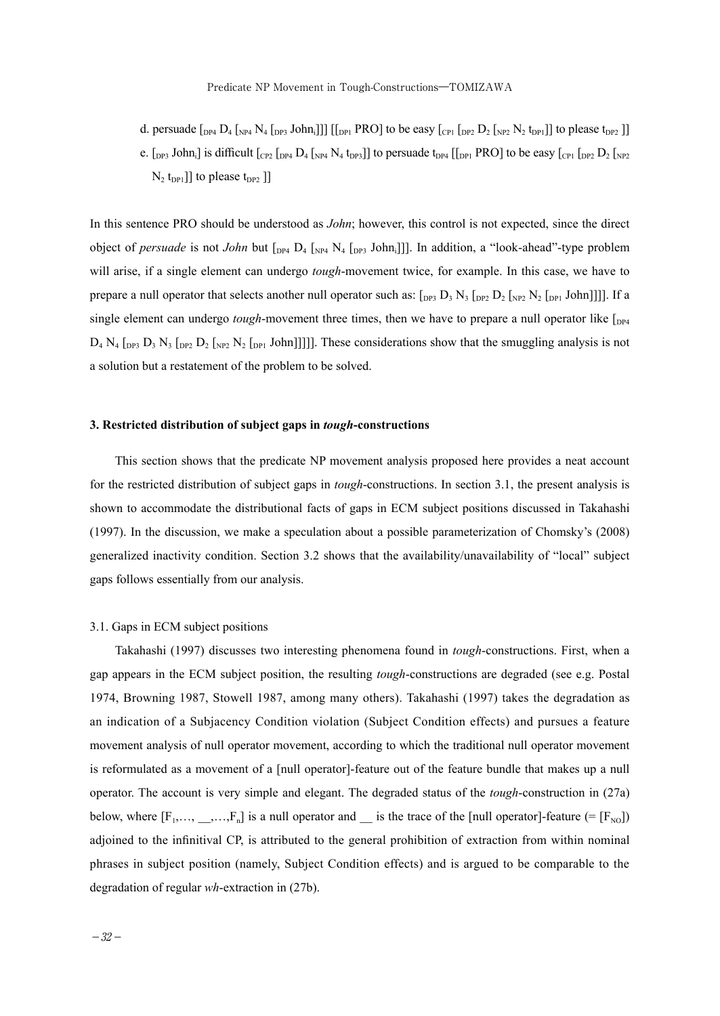d. persuade  $_{\rm{DP4}}$   $\rm{D_4}$   $_{\rm{NP4}}$   $\rm{N_4}$   $_{\rm{DP3}}$  John;]]] [[<sub>DP1</sub> PRO] to be easy [<sub>CP1</sub> [<sub>DP2</sub>  $\rm{D_2}$  [<sub>NP2</sub> N<sub>2</sub> t<sub>DP1</sub>]] to please t<sub>DP2</sub> ]] e.  $[$ <sub>DP3</sub> John<sub>i</sub>] is difficult  $[$ <sub>CP2</sub>  $[$ <sub>DP4</sub>  $]$ <sub>4</sub>  $[$ <sub>NP4</sub>  $N_4$   $t_{DP3}]$ ] to persuade  $t_{DP4}$   $[$   $[$ <sub>DP1</sub>  $]$  PRO] to be easy  $[$ <sub>CP1</sub>  $[$ <sub>DP2</sub>  $]$  $]$ <sub>NP2</sub>  $N_2$  t<sub>DP1</sub>]] to please t<sub>DP2</sub> ]]

In this sentence PRO should be understood as *John*; however, this control is not expected, since the direct object of *persuade* is not *John* but  $_{DPA}$   $_{D4}$   $_{N4}$   $_{DPS}$  John<sub>i</sub>]]. In addition, a "look-ahead"-type problem will arise, if a single element can undergo *tough*-movement twice, for example. In this case, we have to prepare a null operator that selects another null operator such as:  $[_{DP3} D_3 N_3 [_{DP2} D_2 [_{NP2} N_2 [_{DP1} John]]]]$ . If a single element can undergo *tough*-movement three times, then we have to prepare a null operator like  $\int_{DP4}$  $D_4$  N<sub>4</sub>  $\left[\text{D}_1\text{D}_3\text{N}_3\right]\left[\text{D}_2\text{D}_2\left[\text{N}_2\text{N}_2\right]\left[\text{D}_1\text{D}_2\text{D}_3\right]\right]$ . These considerations show that the smuggling analysis is not a solution but a restatement of the problem to be solved.

#### **3. Restricted distribution of subject gaps in** *tough***-constructions**

This section shows that the predicate NP movement analysis proposed here provides a neat account for the restricted distribution of subject gaps in *tough*-constructions. In section 3.1, the present analysis is shown to accommodate the distributional facts of gaps in ECM subject positions discussed in Takahashi (1997). In the discussion, we make a speculation about a possible parameterization of Chomsky's (2008) generalized inactivity condition. Section 3.2 shows that the availability/unavailability of "local" subject gaps follows essentially from our analysis.

#### 3.1. Gaps in ECM subject positions

Takahashi (1997) discusses two interesting phenomena found in *tough*-constructions. First, when a gap appears in the ECM subject position, the resulting *tough*-constructions are degraded (see e.g. Postal 1974, Browning 1987, Stowell 1987, among many others). Takahashi (1997) takes the degradation as an indication of a Subjacency Condition violation (Subject Condition effects) and pursues a feature movement analysis of null operator movement, according to which the traditional null operator movement is reformulated as a movement of a [null operator]-feature out of the feature bundle that makes up a null operator. The account is very simple and elegant. The degraded status of the *tough*-construction in (27a) below, where  $[F_1, \ldots, ..., F_n]$  is a null operator and  $\ldots$  is the trace of the [null operator]-feature (= [ $F_{N0}$ ]) adjoined to the infinitival CP, is attributed to the general prohibition of extraction from within nominal phrases in subject position (namely, Subject Condition effects) and is argued to be comparable to the degradation of regular *wh*-extraction in (27b).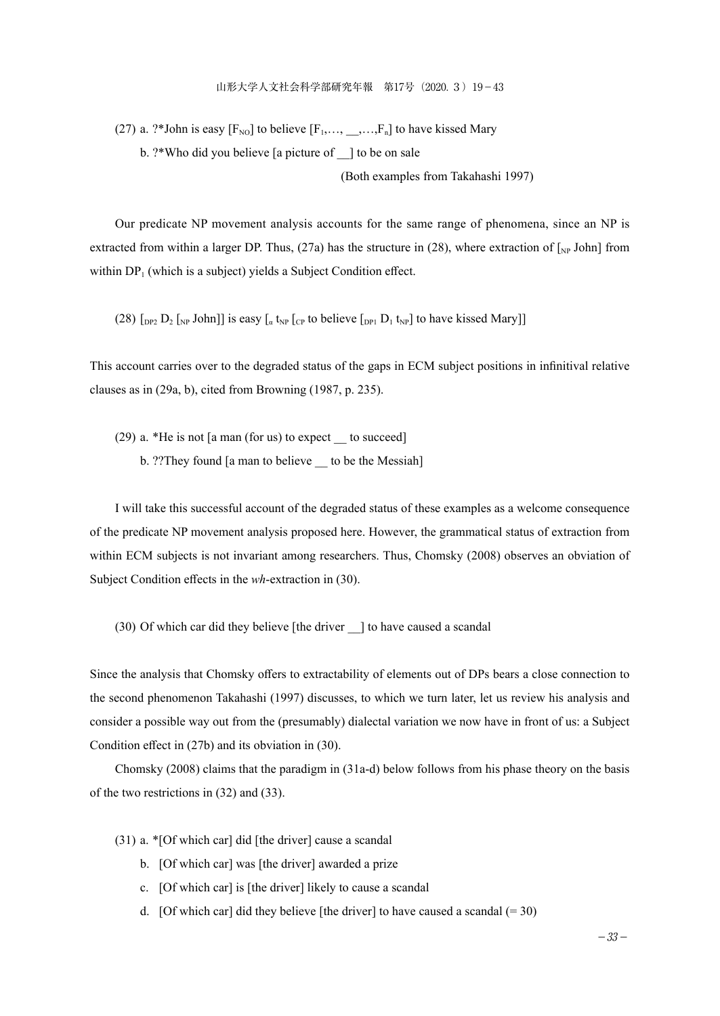(27) a. ?\*John is easy  $[F_{\text{NO}}]$  to believe  $[F_1, \ldots, ..., F_n]$  to have kissed Mary b. ?\*Who did you believe [a picture of \_\_] to be on sale

(Both examples from Takahashi 1997)

Our predicate NP movement analysis accounts for the same range of phenomena, since an NP is extracted from within a larger DP. Thus, (27a) has the structure in (28), where extraction of  $\lfloor_{\text{NP}} \text{John}\rfloor$  from within  $DP_1$  (which is a subject) yields a Subject Condition effect.

(28)  $\lceil_{\text{DP2}} D_2 \rceil_{\text{NP}}$  John]] is easy  $\lceil_{\alpha} t_{\text{NP}} \rceil_{\text{CP}}$  to believe  $\lceil_{\text{DP1}} D_1 t_{\text{NP}} \rceil$  to have kissed Mary]]

This account carries over to the degraded status of the gaps in ECM subject positions in infinitival relative clauses as in (29a, b), cited from Browning (1987, p. 235).

 $(29)$  a. \*He is not [a man (for us) to expect to succeed]

b. ??They found [a man to believe \_\_ to be the Messiah]

I will take this successful account of the degraded status of these examples as a welcome consequence of the predicate NP movement analysis proposed here. However, the grammatical status of extraction from within ECM subjects is not invariant among researchers. Thus, Chomsky (2008) observes an obviation of Subject Condition effects in the *wh*-extraction in (30).

(30) Of which car did they believe [the driver \_\_] to have caused a scandal

Since the analysis that Chomsky offers to extractability of elements out of DPs bears a close connection to the second phenomenon Takahashi (1997) discusses, to which we turn later, let us review his analysis and consider a possible way out from the (presumably) dialectal variation we now have in front of us: a Subject Condition effect in (27b) and its obviation in (30).

Chomsky (2008) claims that the paradigm in (31a-d) below follows from his phase theory on the basis of the two restrictions in (32) and (33).

(31) a. \*[Of which car] did [the driver] cause a scandal

- b. [Of which car] was [the driver] awarded a prize
- c. [Of which car] is [the driver] likely to cause a scandal
- d. [Of which car] did they believe [the driver] to have caused a scandal  $(= 30)$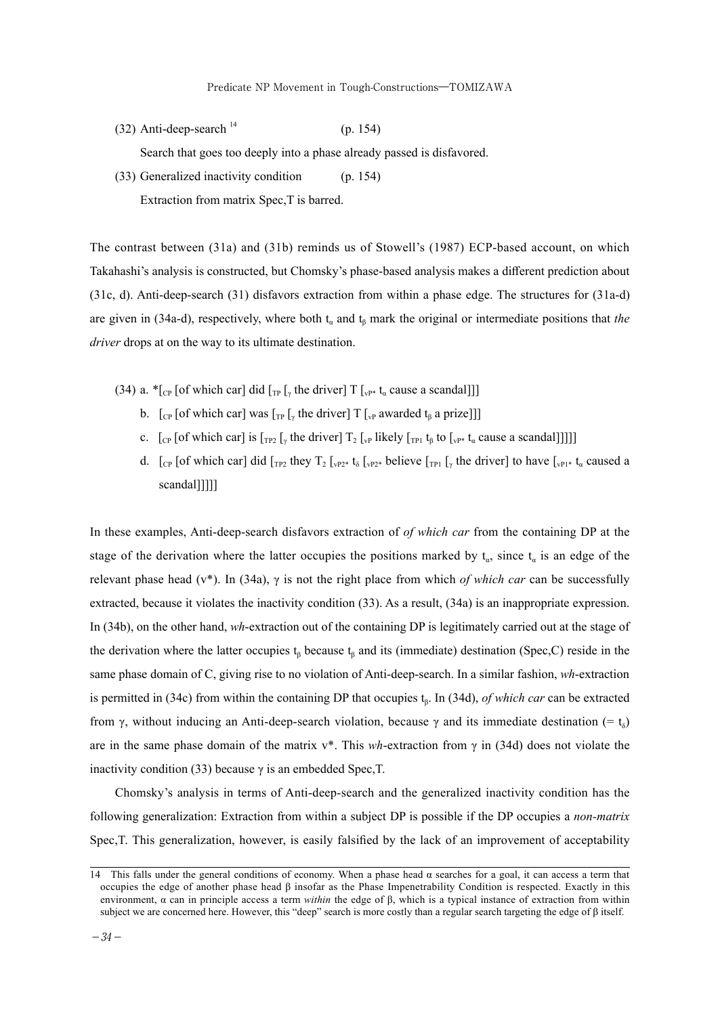$(32)$  Anti-deep-search  $^{14}$  (p. 154)

Search that goes too deeply into a phase already passed is disfavored.

(33) Generalized inactivity condition (p. 154)

Extraction from matrix Spec,T is barred.

The contrast between (31a) and (31b) reminds us of Stowell's (1987) ECP-based account, on which Takahashi's analysis is constructed, but Chomsky's phase-based analysis makes a different prediction about (31c, d). Anti-deep-search (31) disfavors extraction from within a phase edge. The structures for (31a-d) are given in (34a-d), respectively, where both  $t_a$  and  $t_b$  mark the original or intermediate positions that *the driver* drops at on the way to its ultimate destination.

- (34) a.  $*_{[C_{\text{P}}]}$  [of which car] did  $_{[T_{\text{P}}]}$  [<sub>v</sub> the driver] T [<sub>vP\*</sub> t<sub>a</sub> cause a scandal]]]
	- b.  $\left[\int_{\mathbb{CP}} \left[ \text{of which car} \right] \text{ was } \left[\int_{\mathbb{TP}} \left[\int_{\mathbb{CP}} \text{the driver} \right] \right] \left[\int_{\mathbb{CP}} \text{awarded } t_{\beta} \text{ a prize} \right] \right]$
	- c.  $\left[\begin{smallmatrix}C_P \\ C_P \end{smallmatrix}\right]$  [Teg  $\left[\begin{smallmatrix}C_P \\ T_P \end{smallmatrix}\right]$  [verto  $\left[\begin{smallmatrix}C_P \\ T_P \end{smallmatrix}\right]$  the driver]  $T_2$  [verto  $\left[\begin{smallmatrix}C_P \\ T_P \end{smallmatrix}\right]$  to  $\left[\begin{smallmatrix}C_P \\ T_P \end{smallmatrix}\right]$  to  $\left[\begin{smallmatrix}C_P \\ T_P \end{smallmatrix}\right]$  to  $\left[\begin{smallmatrix}C_P \\ T_P \end{smallmatrix}\right]$  to
	- d.  $\left[\begin{smallmatrix}C_P \\ C_P\end{smallmatrix}\right]$  (of which car) did  $\left[\begin{smallmatrix}T_{P2} \\ T_{P2}\end{smallmatrix}\right]$  t<sub>o</sub>  $\left[\begin{smallmatrix}C_P \\ Y_{P2}\end{smallmatrix}\right]$  believe  $\left[\begin{smallmatrix}T_{P1} \\ T_{P1}\end{smallmatrix}\right]$  ( $\left[\begin{smallmatrix}C_P\end{smallmatrix}\right]$  to have  $\left[\begin{smallmatrix}C_P\end{smallmatrix}\right]$  t<sub>a</sub> caused a scandal]]]]]

In these examples, Anti-deep-search disfavors extraction of *of which car* from the containing DP at the stage of the derivation where the latter occupies the positions marked by  $t_a$ , since  $t_a$  is an edge of the relevant phase head (v\*). In (34a), γ is not the right place from which *of which car* can be successfully extracted, because it violates the inactivity condition (33). As a result, (34a) is an inappropriate expression. In (34b), on the other hand, *wh*-extraction out of the containing DP is legitimately carried out at the stage of the derivation where the latter occupies  $t_\beta$  because  $t_\beta$  and its (immediate) destination (Spec,C) reside in the same phase domain of C, giving rise to no violation of Anti-deep-search. In a similar fashion, *wh*-extraction is permitted in (34c) from within the containing DP that occupies tβ. In (34d), *of which car* can be extracted from γ, without inducing an Anti-deep-search violation, because γ and its immediate destination (= t<sub>δ</sub>) are in the same phase domain of the matrix v\*. This *wh*-extraction from γ in (34d) does not violate the inactivity condition (33) because  $\gamma$  is an embedded Spec, T.

Chomsky's analysis in terms of Anti-deep-search and the generalized inactivity condition has the following generalization: Extraction from within a subject DP is possible if the DP occupies a *non-matrix*  Spec,T. This generalization, however, is easily falsified by the lack of an improvement of acceptability

<sup>14</sup> This falls under the general conditions of economy. When a phase head  $\alpha$  searches for a goal, it can access a term that occupies the edge of another phase head β insofar as the Phase Impenetrability Condition is respected. Exactly in this environment, α can in principle access a term *within* the edge of β, which is a typical instance of extraction from within subject we are concerned here. However, this "deep" search is more costly than a regular search targeting the edge of β itself.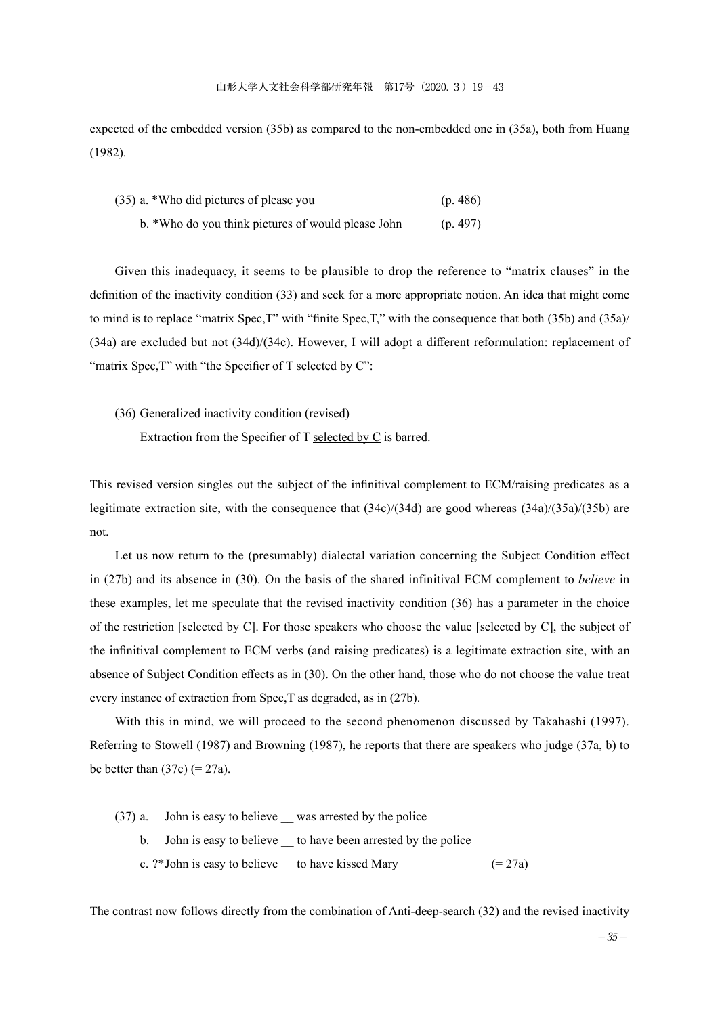expected of the embedded version (35b) as compared to the non-embedded one in (35a), both from Huang (1982).

| (35) a. *Who did pictures of please you            | (p. 486) |
|----------------------------------------------------|----------|
| b. *Who do you think pictures of would please John | (p. 497) |

Given this inadequacy, it seems to be plausible to drop the reference to "matrix clauses" in the definition of the inactivity condition (33) and seek for a more appropriate notion. An idea that might come to mind is to replace "matrix Spec,T" with "finite Spec,T," with the consequence that both (35b) and (35a)/ (34a) are excluded but not (34d)/(34c). However, I will adopt a different reformulation: replacement of "matrix Spec, T" with "the Specifier of T selected by C":

(36) Generalized inactivity condition (revised)

Extraction from the Specifier of T selected by C is barred.

This revised version singles out the subject of the infinitival complement to ECM/raising predicates as a legitimate extraction site, with the consequence that (34c)/(34d) are good whereas (34a)/(35a)/(35b) are not.

Let us now return to the (presumably) dialectal variation concerning the Subject Condition effect in (27b) and its absence in (30). On the basis of the shared infinitival ECM complement to *believe* in these examples, let me speculate that the revised inactivity condition (36) has a parameter in the choice of the restriction [selected by C]. For those speakers who choose the value [selected by C], the subject of the infinitival complement to ECM verbs (and raising predicates) is a legitimate extraction site, with an absence of Subject Condition effects as in (30). On the other hand, those who do not choose the value treat every instance of extraction from Spec,T as degraded, as in (27b).

With this in mind, we will proceed to the second phenomenon discussed by Takahashi (1997). Referring to Stowell (1987) and Browning (1987), he reports that there are speakers who judge (37a, b) to be better than  $(37c)$  (= 27a).

(37) a. John is easy to believe \_\_ was arrested by the police

- b. John is easy to believe to have been arrested by the police
- c. ?\*John is easy to believe to have kissed Mary  $(= 27a)$

The contrast now follows directly from the combination of Anti-deep-search (32) and the revised inactivity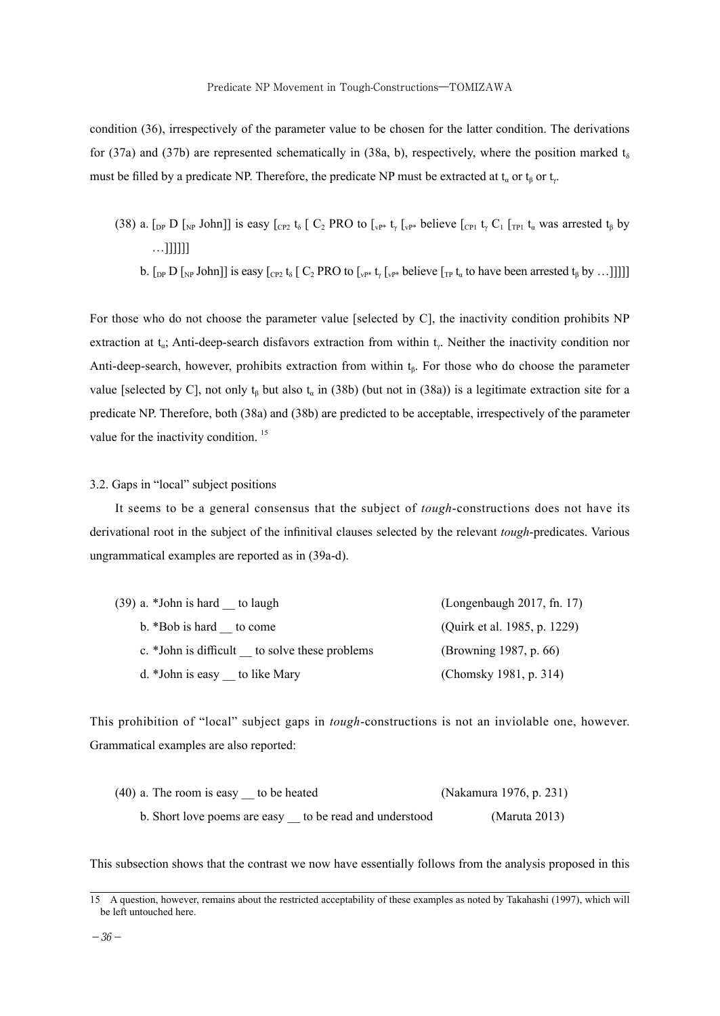condition (36), irrespectively of the parameter value to be chosen for the latter condition. The derivations for (37a) and (37b) are represented schematically in (38a, b), respectively, where the position marked  $t_{\delta}$ must be filled by a predicate NP. Therefore, the predicate NP must be extracted at  $t_a$  or  $t_b$  or  $t_c$ .

(38) a.  $\lceil_{\text{DP}} D \rceil_{\text{NP}}$  John]] is easy  $\lceil_{\text{CP}} \cdot \frac{t}{6} \rceil$  C<sub>2</sub> PRO to  $\lceil_{\text{VP}^*} \cdot \frac{t}{4} \rceil_{\text{VP}^*}$  believe  $\lceil_{\text{CP1}} \cdot \frac{t}{4} \cdot \frac{C_1}{1} \rceil_{\text{TP1}} \cdot \frac{t}{4}$  was arrested  $t_6$  by  $\dots$ ]]]]]] b.  $\left[\int_{\text{DP}} D \left[\int_{\text{NP}} \text{John} \right] \right]$  is easy  $\left[\int_{\text{CP2}} t_{\delta} \left[ C_2 \text{PRO to } \int_{\text{VP*}} t_{\delta} \left[\int_{\text{VP*}} \text{believe} \left[ \int_{\text{TP}} t_{\alpha} \right] \right] \right]$ 

For those who do not choose the parameter value [selected by C], the inactivity condition prohibits NP extraction at  $t_a$ ; Anti-deep-search disfavors extraction from within  $t_v$ . Neither the inactivity condition nor Anti-deep-search, however, prohibits extraction from within  $t_\beta$ . For those who do choose the parameter value [selected by C], not only  $t_6$  but also  $t_a$  in (38b) (but not in (38a)) is a legitimate extraction site for a predicate NP. Therefore, both (38a) and (38b) are predicted to be acceptable, irrespectively of the parameter value for the inactivity condition.<sup>15</sup>

#### 3.2. Gaps in "local" subject positions

It seems to be a general consensus that the subject of *tough*-constructions does not have its derivational root in the subject of the infinitival clauses selected by the relevant *tough*-predicates. Various ungrammatical examples are reported as in (39a-d).

| $(39)$ a. *John is hard to laugh              | (Longenbaugh 2017, fn. 17)   |
|-----------------------------------------------|------------------------------|
| b. *Bob is hard to come                       | (Quirk et al. 1985, p. 1229) |
| c. *John is difficult to solve these problems | (Browning 1987, p. 66)       |
| d. *John is easy to like Mary                 | (Chomsky 1981, p. 314)       |

This prohibition of "local" subject gaps in *tough*-constructions is not an inviolable one, however. Grammatical examples are also reported:

| $(40)$ a. The room is easy to be heated |                           | (Nakamura 1976, p. 231) |
|-----------------------------------------|---------------------------|-------------------------|
| b. Short love poems are easy            | to be read and understood | (Maruta 2013)           |

This subsection shows that the contrast we now have essentially follows from the analysis proposed in this

<sup>15</sup> A question, however, remains about the restricted acceptability of these examples as noted by Takahashi (1997), which will be left untouched here.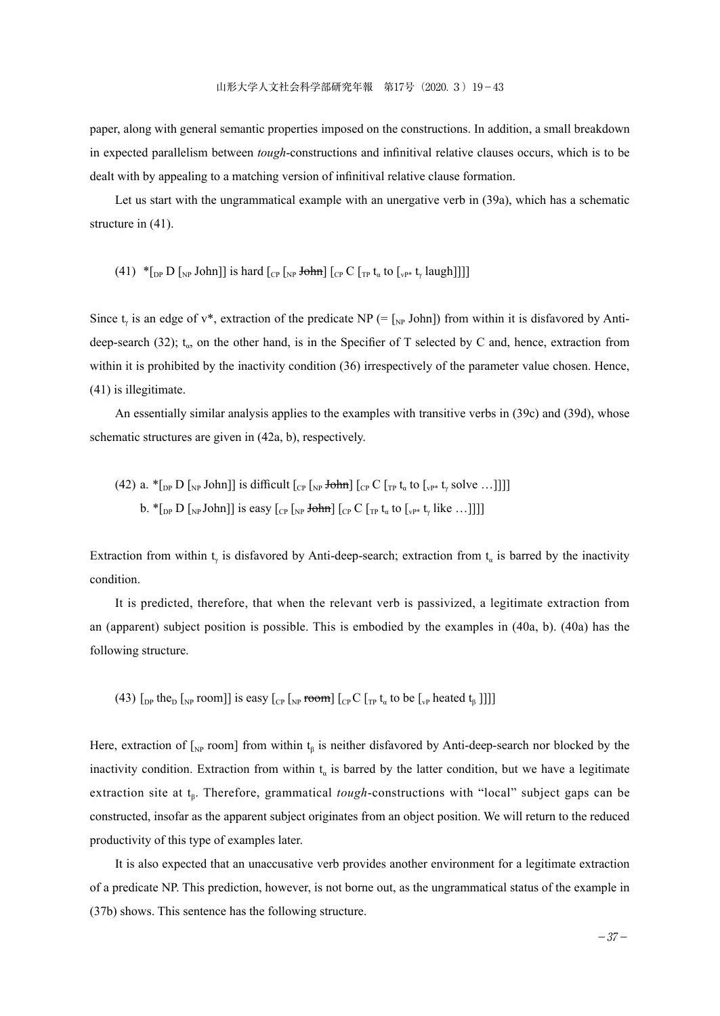paper, along with general semantic properties imposed on the constructions. In addition, a small breakdown in expected parallelism between *tough*-constructions and infinitival relative clauses occurs, which is to be dealt with by appealing to a matching version of infinitival relative clause formation.

Let us start with the ungrammatical example with an unergative verb in (39a), which has a schematic structure in (41).

(41) 
$$
*_{\text{L}^{p}} D
$$
  $[{}_{NP}$  John]] is hard  $[{}_{CP}$   $[{}_{NP}$   $+ \frac{1}{2} \text{chm}$   $[{}_{CP} C$   $[{}_{TP} t_{\alpha}$  to  $[{}_{VP^*} t_{\gamma}$   $[{}_{A} \text{ugh}]]]$ 

Since t<sub>v</sub> is an edge of v<sup>\*</sup>, extraction of the predicate NP (=  $\lceil_{NP}$  John]) from within it is disfavored by Antideep-search (32);  $t_a$ , on the other hand, is in the Specifier of T selected by C and, hence, extraction from within it is prohibited by the inactivity condition (36) irrespectively of the parameter value chosen. Hence, (41) is illegitimate.

An essentially similar analysis applies to the examples with transitive verbs in (39c) and (39d), whose schematic structures are given in (42a, b), respectively.

(42) a. 
$$
{}^*_{\text{Lp}}
$$
 D  $_{\text{Np}}$  John]] is difficult  $_{\text{Cp}}$   $_{\text{Np}}$  **John**  $_{\text{Cp}}$  C  $_{\text{Tr}} t_a$  to  $_{\text{Vp*}} t_{\gamma}$  solve ...]]]]  
\nb.  ${}^*_{\text{Lp}}$  D  $_{\text{Np}}$  John]] is easy  $_{\text{Cp}}$   $_{\text{Np}}$  **John**  $_{\text{Cp}}$  C  $_{\text{Tr}} t_a$  to  $_{\text{Vp*}} t_{\gamma}$  like ...]]]]

Extraction from within t<sub>v</sub> is disfavored by Anti-deep-search; extraction from t<sub>a</sub> is barred by the inactivity condition.

It is predicted, therefore, that when the relevant verb is passivized, a legitimate extraction from an (apparent) subject position is possible. This is embodied by the examples in (40a, b). (40a) has the following structure.

(43)  $\lceil_{DP}$  the<sub>D</sub>  $\lceil_{NP}$  room]] is easy  $\lceil_{CP} \lceil_{NP}$  room]  $\lceil_{CP} C \lceil_{TP} t_a$  to be  $\lceil_{VP}$  heated  $t_B$  ]]]]

Here, extraction of  $\left[\int_{NP}$  room] from within t<sub>β</sub> is neither disfavored by Anti-deep-search nor blocked by the inactivity condition. Extraction from within  $t_a$  is barred by the latter condition, but we have a legitimate extraction site at t<sub>β</sub>. Therefore, grammatical *tough*-constructions with "local" subject gaps can be constructed, insofar as the apparent subject originates from an object position. We will return to the reduced productivity of this type of examples later.

It is also expected that an unaccusative verb provides another environment for a legitimate extraction of a predicate NP. This prediction, however, is not borne out, as the ungrammatical status of the example in (37b) shows. This sentence has the following structure.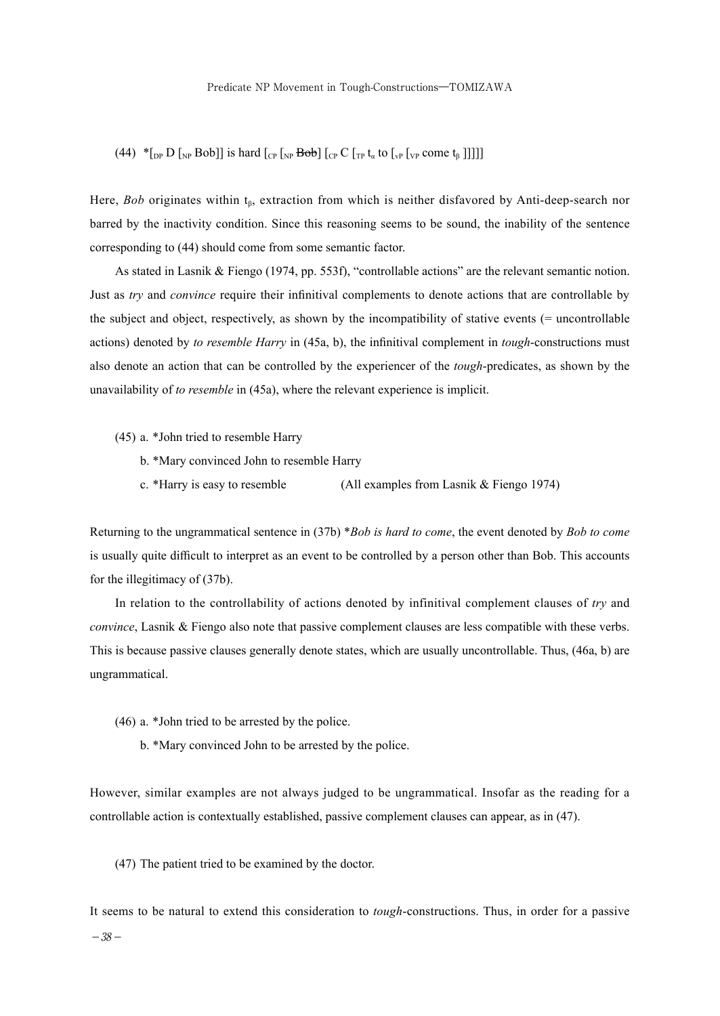(44) \* $\lceil \frac{D}{\lceil N^p \rceil}$   $\lceil \frac{D}{\lceil N^p \rceil}$   $\lceil \frac{D}{\lceil N^p \rceil} \rceil$   $\lceil \frac{D}{\lceil N^p \rceil} \rceil$   $\lceil \frac{D}{\lceil N^p \rceil} \rceil$   $\lceil \frac{D}{\lceil N^p \rceil} \rceil$   $\lceil \frac{D}{\lceil N^p \rceil} \rceil$   $\lceil \frac{D}{\lceil N^p \rceil} \rceil$ 

Here, *Bob* originates within t<sub>β</sub>, extraction from which is neither disfavored by Anti-deep-search nor barred by the inactivity condition. Since this reasoning seems to be sound, the inability of the sentence corresponding to (44) should come from some semantic factor.

As stated in Lasnik & Fiengo (1974, pp. 553f), "controllable actions" are the relevant semantic notion. Just as *try* and *convince* require their infinitival complements to denote actions that are controllable by the subject and object, respectively, as shown by the incompatibility of stative events (= uncontrollable actions) denoted by *to resemble Harry* in (45a, b), the infinitival complement in *tough*-constructions must also denote an action that can be controlled by the experiencer of the *tough*-predicates, as shown by the unavailability of *to resemble* in (45a), where the relevant experience is implicit.

(45) a. \*John tried to resemble Harry

- b. \*Mary convinced John to resemble Harry
- c. \*Harry is easy to resemble (All examples from Lasnik & Fiengo 1974)

Returning to the ungrammatical sentence in (37b) \**Bob is hard to come*, the event denoted by *Bob to come* is usually quite difficult to interpret as an event to be controlled by a person other than Bob. This accounts for the illegitimacy of (37b).

In relation to the controllability of actions denoted by infinitival complement clauses of *try* and *convince*, Lasnik & Fiengo also note that passive complement clauses are less compatible with these verbs. This is because passive clauses generally denote states, which are usually uncontrollable. Thus, (46a, b) are ungrammatical.

- (46) a. \*John tried to be arrested by the police.
	- b. \*Mary convinced John to be arrested by the police.

However, similar examples are not always judged to be ungrammatical. Insofar as the reading for a controllable action is contextually established, passive complement clauses can appear, as in (47).

(47) The patient tried to be examined by the doctor.

It seems to be natural to extend this consideration to *tough*-constructions. Thus, in order for a passive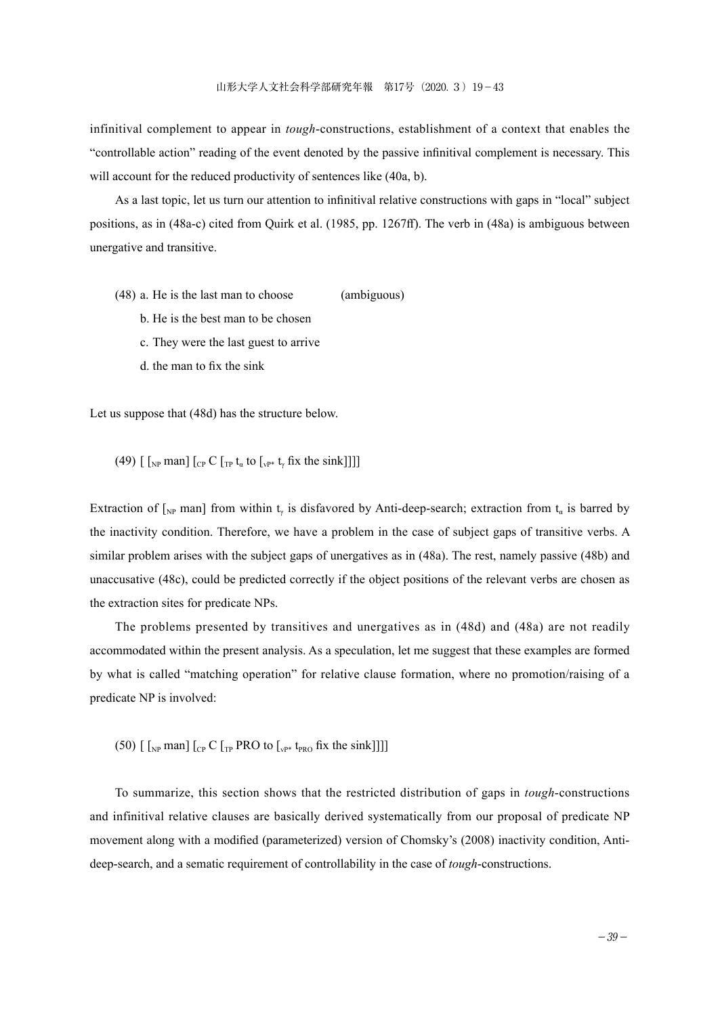infinitival complement to appear in *tough*-constructions, establishment of a context that enables the "controllable action" reading of the event denoted by the passive infinitival complement is necessary. This will account for the reduced productivity of sentences like (40a, b).

As a last topic, let us turn our attention to infinitival relative constructions with gaps in "local" subject positions, as in (48a-c) cited from Quirk et al. (1985, pp. 1267ff). The verb in (48a) is ambiguous between unergative and transitive.

- (48) a. He is the last man to choose (ambiguous)
	- b. He is the best man to be chosen
	- c. They were the last guest to arrive
	- d. the man to fix the sink

Let us suppose that (48d) has the structure below.

(49)  $\left[\begin{array}{cc} \left[\begin{smallmatrix}N_P\end{array}\right] \text{man}\right] \left[\begin{array}{cc}C\end{array}\right] \left[\begin{array}{cc}C\end{array}\right] \text{ for }t_a$  to  $\left[\begin{smallmatrix}N_P^* & t_v \end{array}\right]$  fix the sink

Extraction of  $\lbrack_{\rm NP}$  man] from within t<sub>v</sub> is disfavored by Anti-deep-search; extraction from t<sub>a</sub> is barred by the inactivity condition. Therefore, we have a problem in the case of subject gaps of transitive verbs. A similar problem arises with the subject gaps of unergatives as in (48a). The rest, namely passive (48b) and unaccusative (48c), could be predicted correctly if the object positions of the relevant verbs are chosen as the extraction sites for predicate NPs.

The problems presented by transitives and unergatives as in (48d) and (48a) are not readily accommodated within the present analysis. As a speculation, let me suggest that these examples are formed by what is called "matching operation" for relative clause formation, where no promotion/raising of a predicate NP is involved:

(50)  $\left[\begin{array}{cc} \left[\begin{smallmatrix}N_P\end{array} \right] \text{man} \right]$   $\left[\begin{array}{cc}C_P & C\end{array} \right]$  [TP PRO to  $\left[\begin{smallmatrix}N_P^* & t_{PRO}\end{array} \right]$  fix the sink]]]

To summarize, this section shows that the restricted distribution of gaps in *tough*-constructions and infinitival relative clauses are basically derived systematically from our proposal of predicate NP movement along with a modified (parameterized) version of Chomsky's (2008) inactivity condition, Antideep-search, and a sematic requirement of controllability in the case of *tough*-constructions.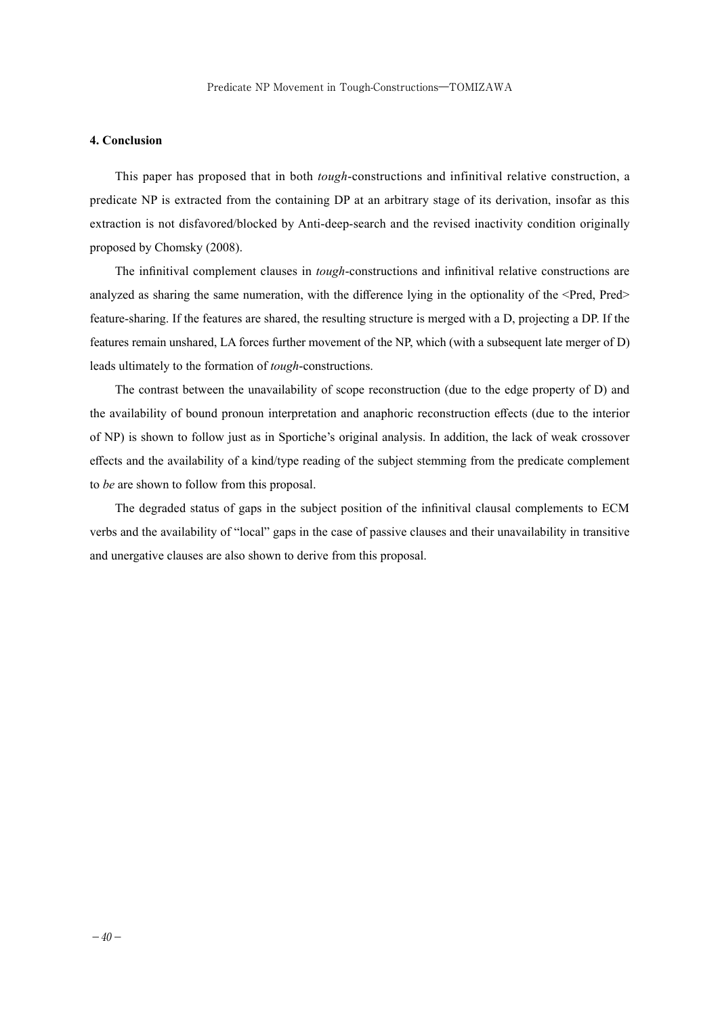#### **4. Conclusion**

This paper has proposed that in both *tough*-constructions and infinitival relative construction, a predicate NP is extracted from the containing DP at an arbitrary stage of its derivation, insofar as this extraction is not disfavored/blocked by Anti-deep-search and the revised inactivity condition originally proposed by Chomsky (2008).

The infinitival complement clauses in *tough*-constructions and infinitival relative constructions are analyzed as sharing the same numeration, with the difference lying in the optionality of the <Pred, Pred feature-sharing. If the features are shared, the resulting structure is merged with a D, projecting a DP. If the features remain unshared, LA forces further movement of the NP, which (with a subsequent late merger of D) leads ultimately to the formation of *tough*-constructions.

The contrast between the unavailability of scope reconstruction (due to the edge property of D) and the availability of bound pronoun interpretation and anaphoric reconstruction effects (due to the interior of NP) is shown to follow just as in Sportiche's original analysis. In addition, the lack of weak crossover effects and the availability of a kind/type reading of the subject stemming from the predicate complement to *be* are shown to follow from this proposal.

The degraded status of gaps in the subject position of the infinitival clausal complements to ECM verbs and the availability of "local" gaps in the case of passive clauses and their unavailability in transitive and unergative clauses are also shown to derive from this proposal.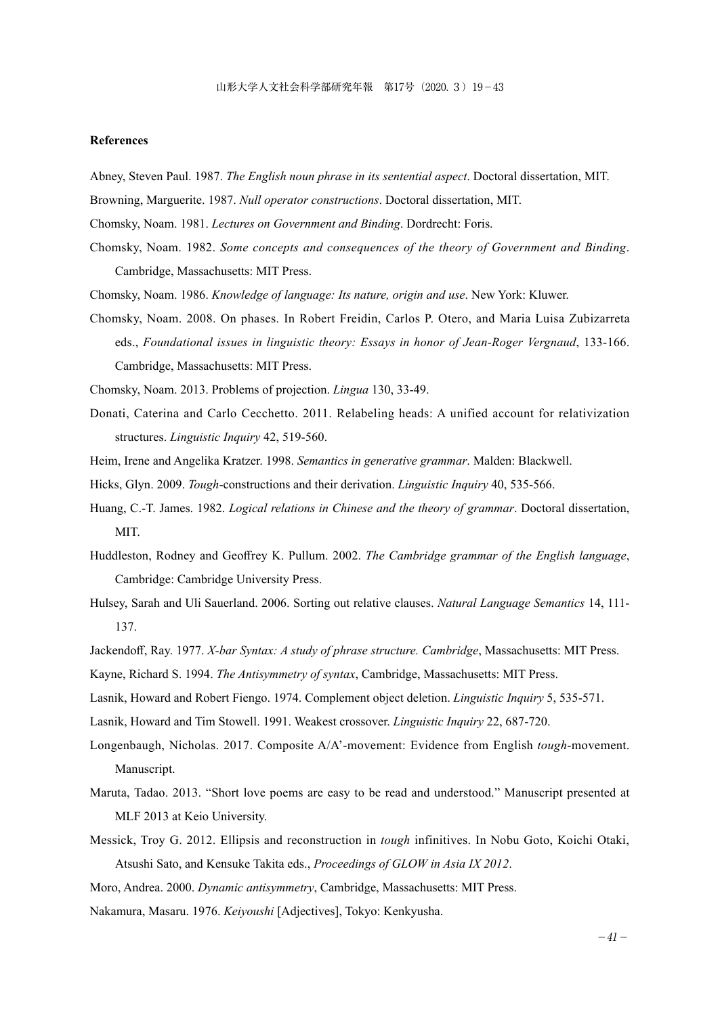#### **References**

- Abney, Steven Paul. 1987. *The English noun phrase in its sentential aspect*. Doctoral dissertation, MIT.
- Browning, Marguerite. 1987. *Null operator constructions*. Doctoral dissertation, MIT.
- Chomsky, Noam. 1981. *Lectures on Government and Binding*. Dordrecht: Foris.
- Chomsky, Noam. 1982. *Some concepts and consequences of the theory of Government and Binding*. Cambridge, Massachusetts: MIT Press.
- Chomsky, Noam. 1986. *Knowledge of language: Its nature, origin and use*. New York: Kluwer.
- Chomsky, Noam. 2008. On phases. In Robert Freidin, Carlos P. Otero, and Maria Luisa Zubizarreta eds., *Foundational issues in linguistic theory: Essays in honor of Jean-Roger Vergnaud*, 133-166. Cambridge, Massachusetts: MIT Press.

Chomsky, Noam. 2013. Problems of projection. *Lingua* 130, 33-49.

- Donati, Caterina and Carlo Cecchetto. 2011. Relabeling heads: A unified account for relativization structures. *Linguistic Inquiry* 42, 519-560.
- Heim, Irene and Angelika Kratzer. 1998. *Semantics in generative grammar*. Malden: Blackwell.
- Hicks, Glyn. 2009. *Tough*-constructions and their derivation. *Linguistic Inquiry* 40, 535-566.
- Huang, C.-T. James. 1982. *Logical relations in Chinese and the theory of grammar*. Doctoral dissertation, MIT.
- Huddleston, Rodney and Geoffrey K. Pullum. 2002. *The Cambridge grammar of the English language*, Cambridge: Cambridge University Press.
- Hulsey, Sarah and Uli Sauerland. 2006. Sorting out relative clauses. *Natural Language Semantics* 14, 111- 137.
- Jackendoff, Ray. 1977. *X-bar Syntax: A study of phrase structure. Cambridge*, Massachusetts: MIT Press.
- Kayne, Richard S. 1994. *The Antisymmetry of syntax*, Cambridge, Massachusetts: MIT Press.
- Lasnik, Howard and Robert Fiengo. 1974. Complement object deletion. *Linguistic Inquiry* 5, 535-571.
- Lasnik, Howard and Tim Stowell. 1991. Weakest crossover. *Linguistic Inquiry* 22, 687-720.
- Longenbaugh, Nicholas. 2017. Composite A/A'-movement: Evidence from English *tough*-movement. Manuscript.
- Maruta, Tadao. 2013. "Short love poems are easy to be read and understood." Manuscript presented at MLF 2013 at Keio University.
- Messick, Troy G. 2012. Ellipsis and reconstruction in *tough* infinitives. In Nobu Goto, Koichi Otaki, Atsushi Sato, and Kensuke Takita eds., *Proceedings of GLOW in Asia IX 2012*.

Moro, Andrea. 2000. *Dynamic antisymmetry*, Cambridge, Massachusetts: MIT Press.

Nakamura, Masaru. 1976. *Keiyoushi* [Adjectives], Tokyo: Kenkyusha.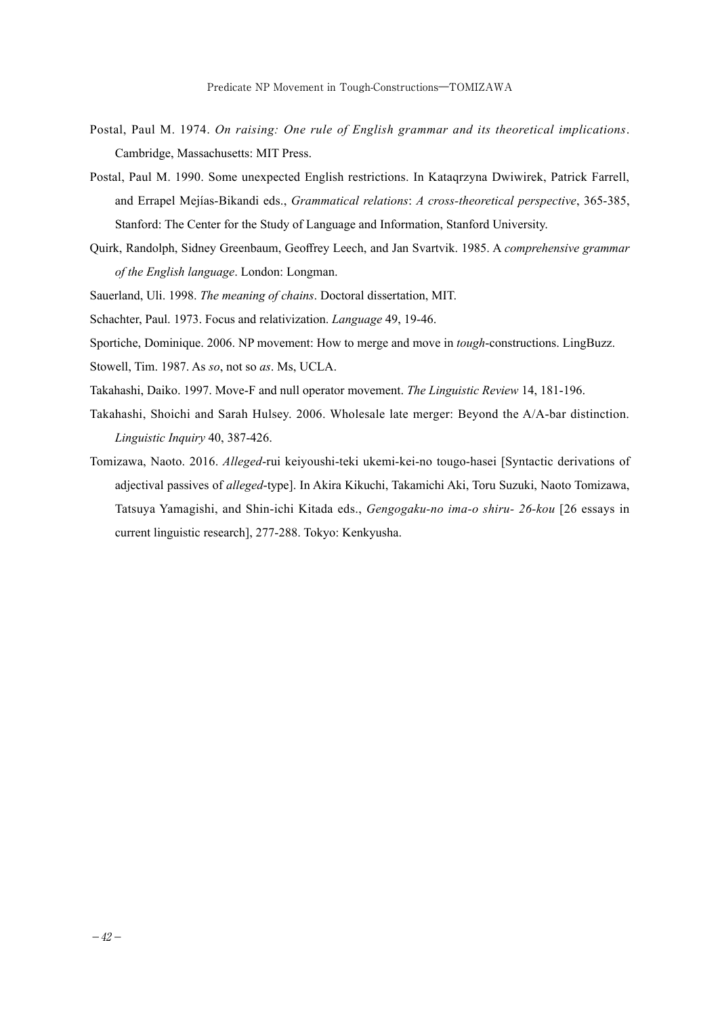- Postal, Paul M. 1974. *On raising: One rule of English grammar and its theoretical implications*. Cambridge, Massachusetts: MIT Press.
- Postal, Paul M. 1990. Some unexpected English restrictions. In Kataqrzyna Dwiwirek, Patrick Farrell, and Errapel Mejías-Bikandi eds., *Grammatical relations*: *A cross-theoretical perspective*, 365-385, Stanford: The Center for the Study of Language and Information, Stanford University.
- Quirk, Randolph, Sidney Greenbaum, Geoffrey Leech, and Jan Svartvik. 1985. A *comprehensive grammar of the English language*. London: Longman.
- Sauerland, Uli. 1998. *The meaning of chains*. Doctoral dissertation, MIT.
- Schachter, Paul. 1973. Focus and relativization. *Language* 49, 19-46.
- Sportiche, Dominique. 2006. NP movement: How to merge and move in *tough*-constructions. LingBuzz.
- Stowell, Tim. 1987. As *so*, not so *as*. Ms, UCLA.
- Takahashi, Daiko. 1997. Move-F and null operator movement. *The Linguistic Review* 14, 181-196.
- Takahashi, Shoichi and Sarah Hulsey. 2006. Wholesale late merger: Beyond the A/A-bar distinction. *Linguistic Inquiry* 40, 387-426.
- Tomizawa, Naoto. 2016. *Alleged*-rui keiyoushi-teki ukemi-kei-no tougo-hasei [Syntactic derivations of adjectival passives of *alleged*-type]. In Akira Kikuchi, Takamichi Aki, Toru Suzuki, Naoto Tomizawa, Tatsuya Yamagishi, and Shin-ichi Kitada eds., *Gengogaku-no ima-o shiru- 26-kou* [26 essays in current linguistic research], 277-288. Tokyo: Kenkyusha.